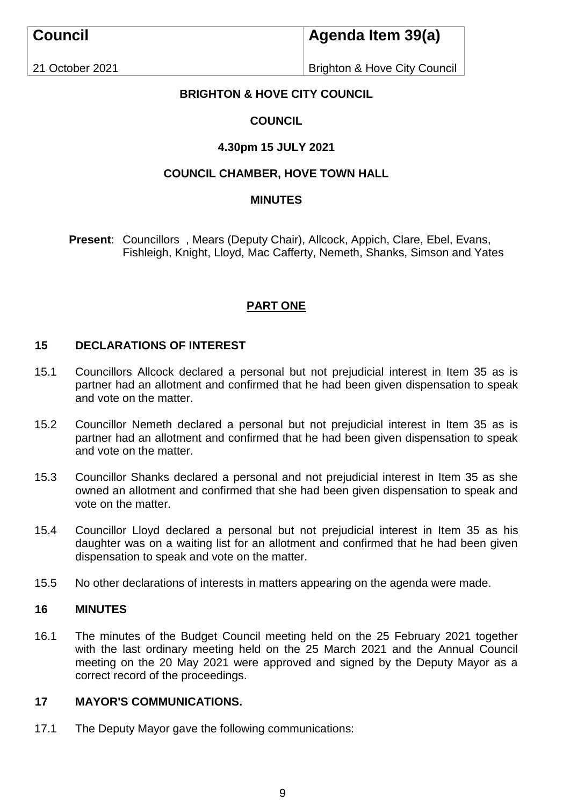# **Agenda Item 39(a)**

21 October 2021

Brighton & Hove City Council

## **BRIGHTON & HOVE CITY COUNCIL**

## **COUNCIL**

## **4.30pm 15 JULY 2021**

## **COUNCIL CHAMBER, HOVE TOWN HALL**

## **MINUTES**

**Present**: Councillors , Mears (Deputy Chair), Allcock, Appich, Clare, Ebel, Evans, Fishleigh, Knight, Lloyd, Mac Cafferty, Nemeth, Shanks, Simson and Yates

## **PART ONE**

## **15 DECLARATIONS OF INTEREST**

- 15.1 Councillors Allcock declared a personal but not prejudicial interest in Item 35 as is partner had an allotment and confirmed that he had been given dispensation to speak and vote on the matter.
- 15.2 Councillor Nemeth declared a personal but not prejudicial interest in Item 35 as is partner had an allotment and confirmed that he had been given dispensation to speak and vote on the matter.
- 15.3 Councillor Shanks declared a personal and not prejudicial interest in Item 35 as she owned an allotment and confirmed that she had been given dispensation to speak and vote on the matter.
- 15.4 Councillor Lloyd declared a personal but not prejudicial interest in Item 35 as his daughter was on a waiting list for an allotment and confirmed that he had been given dispensation to speak and vote on the matter.
- 15.5 No other declarations of interests in matters appearing on the agenda were made.

#### **16 MINUTES**

16.1 The minutes of the Budget Council meeting held on the 25 February 2021 together with the last ordinary meeting held on the 25 March 2021 and the Annual Council meeting on the 20 May 2021 were approved and signed by the Deputy Mayor as a correct record of the proceedings.

#### **17 MAYOR'S COMMUNICATIONS.**

17.1 The Deputy Mayor gave the following communications: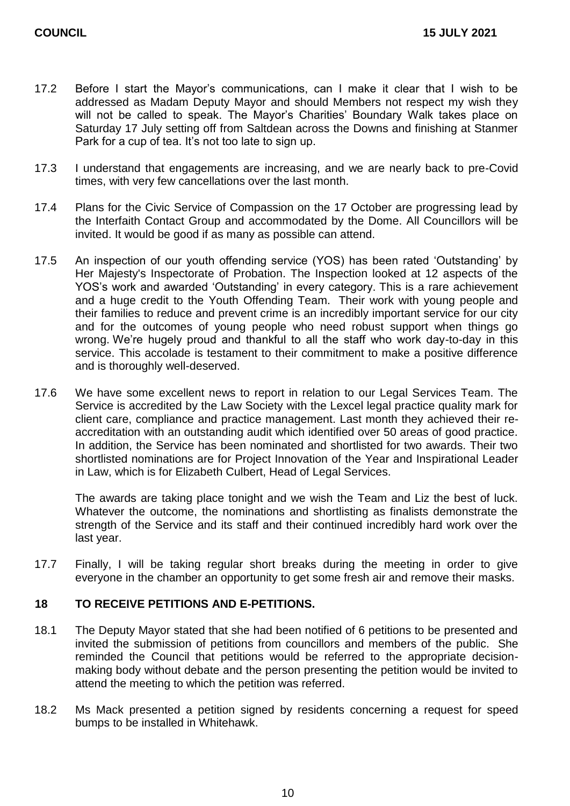- 17.2 Before I start the Mayor's communications, can I make it clear that I wish to be addressed as Madam Deputy Mayor and should Members not respect my wish they will not be called to speak. The Mayor's Charities' Boundary Walk takes place on Saturday 17 July setting off from Saltdean across the Downs and finishing at Stanmer Park for a cup of tea. It's not too late to sign up.
- 17.3 I understand that engagements are increasing, and we are nearly back to pre-Covid times, with very few cancellations over the last month.
- 17.4 Plans for the Civic Service of Compassion on the 17 October are progressing lead by the Interfaith Contact Group and accommodated by the Dome. All Councillors will be invited. It would be good if as many as possible can attend.
- 17.5 An inspection of our youth offending service (YOS) has been rated 'Outstanding' by Her Majesty's Inspectorate of Probation. The Inspection looked at 12 aspects of the YOS's work and awarded 'Outstanding' in every category. This is a rare achievement and a huge credit to the Youth Offending Team. Their work with young people and their families to reduce and prevent crime is an incredibly important service for our city and for the outcomes of young people who need robust support when things go wrong. We're hugely proud and thankful to all the staff who work day-to-day in this service. This accolade is testament to their commitment to make a positive difference and is thoroughly well-deserved.
- 17.6 We have some excellent news to report in relation to our Legal Services Team. The Service is accredited by the Law Society with the Lexcel legal practice quality mark for client care, compliance and practice management. Last month they achieved their reaccreditation with an outstanding audit which identified over 50 areas of good practice. In addition, the Service has been nominated and shortlisted for two awards. Their two shortlisted nominations are for Project Innovation of the Year and Inspirational Leader in Law, which is for Elizabeth Culbert, Head of Legal Services.

The awards are taking place tonight and we wish the Team and Liz the best of luck. Whatever the outcome, the nominations and shortlisting as finalists demonstrate the strength of the Service and its staff and their continued incredibly hard work over the last year.

17.7 Finally, I will be taking regular short breaks during the meeting in order to give everyone in the chamber an opportunity to get some fresh air and remove their masks.

### **18 TO RECEIVE PETITIONS AND E-PETITIONS.**

- 18.1 The Deputy Mayor stated that she had been notified of 6 petitions to be presented and invited the submission of petitions from councillors and members of the public. She reminded the Council that petitions would be referred to the appropriate decisionmaking body without debate and the person presenting the petition would be invited to attend the meeting to which the petition was referred.
- 18.2 Ms Mack presented a petition signed by residents concerning a request for speed bumps to be installed in Whitehawk.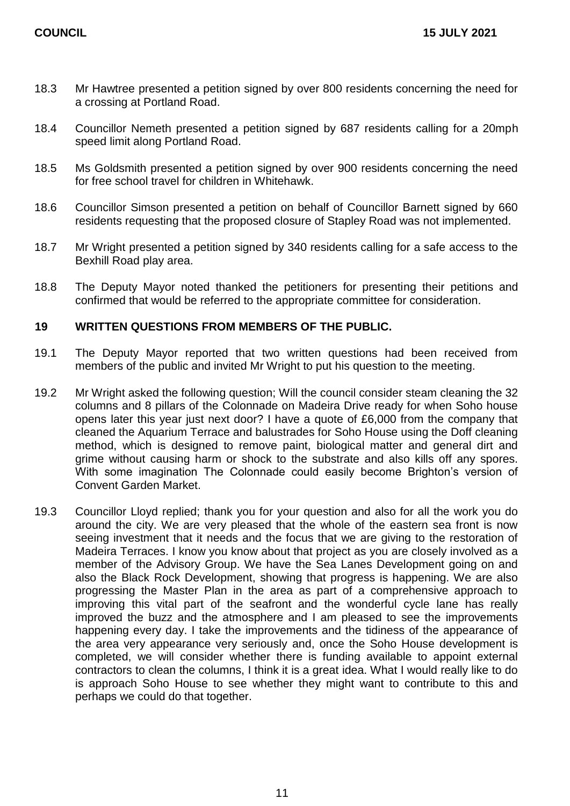- 18.3 Mr Hawtree presented a petition signed by over 800 residents concerning the need for a crossing at Portland Road.
- 18.4 Councillor Nemeth presented a petition signed by 687 residents calling for a 20mph speed limit along Portland Road.
- 18.5 Ms Goldsmith presented a petition signed by over 900 residents concerning the need for free school travel for children in Whitehawk.
- 18.6 Councillor Simson presented a petition on behalf of Councillor Barnett signed by 660 residents requesting that the proposed closure of Stapley Road was not implemented.
- 18.7 Mr Wright presented a petition signed by 340 residents calling for a safe access to the Bexhill Road play area.
- 18.8 The Deputy Mayor noted thanked the petitioners for presenting their petitions and confirmed that would be referred to the appropriate committee for consideration.

#### **19 WRITTEN QUESTIONS FROM MEMBERS OF THE PUBLIC.**

- 19.1 The Deputy Mayor reported that two written questions had been received from members of the public and invited Mr Wright to put his question to the meeting.
- 19.2 Mr Wright asked the following question; Will the council consider steam cleaning the 32 columns and 8 pillars of the Colonnade on Madeira Drive ready for when Soho house opens later this year just next door? I have a quote of £6,000 from the company that cleaned the Aquarium Terrace and balustrades for Soho House using the Doff cleaning method, which is designed to remove paint, biological matter and general dirt and grime without causing harm or shock to the substrate and also kills off any spores. With some imagination The Colonnade could easily become Brighton's version of Convent Garden Market.
- 19.3 Councillor Lloyd replied; thank you for your question and also for all the work you do around the city. We are very pleased that the whole of the eastern sea front is now seeing investment that it needs and the focus that we are giving to the restoration of Madeira Terraces. I know you know about that project as you are closely involved as a member of the Advisory Group. We have the Sea Lanes Development going on and also the Black Rock Development, showing that progress is happening. We are also progressing the Master Plan in the area as part of a comprehensive approach to improving this vital part of the seafront and the wonderful cycle lane has really improved the buzz and the atmosphere and I am pleased to see the improvements happening every day. I take the improvements and the tidiness of the appearance of the area very appearance very seriously and, once the Soho House development is completed, we will consider whether there is funding available to appoint external contractors to clean the columns, I think it is a great idea. What I would really like to do is approach Soho House to see whether they might want to contribute to this and perhaps we could do that together.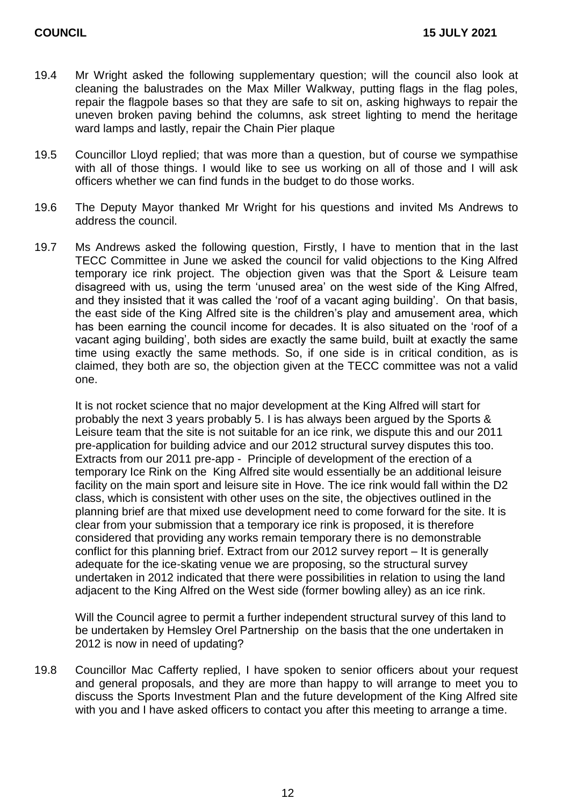- 19.4 Mr Wright asked the following supplementary question; will the council also look at cleaning the balustrades on the Max Miller Walkway, putting flags in the flag poles, repair the flagpole bases so that they are safe to sit on, asking highways to repair the uneven broken paving behind the columns, ask street lighting to mend the heritage ward lamps and lastly, repair the Chain Pier plaque
- 19.5 Councillor Lloyd replied; that was more than a question, but of course we sympathise with all of those things. I would like to see us working on all of those and I will ask officers whether we can find funds in the budget to do those works.
- 19.6 The Deputy Mayor thanked Mr Wright for his questions and invited Ms Andrews to address the council.
- 19.7 Ms Andrews asked the following question, Firstly, I have to mention that in the last TECC Committee in June we asked the council for valid objections to the King Alfred temporary ice rink project. The objection given was that the Sport & Leisure team disagreed with us, using the term 'unused area' on the west side of the King Alfred, and they insisted that it was called the 'roof of a vacant aging building'. On that basis, the east side of the King Alfred site is the children's play and amusement area, which has been earning the council income for decades. It is also situated on the 'roof of a vacant aging building', both sides are exactly the same build, built at exactly the same time using exactly the same methods. So, if one side is in critical condition, as is claimed, they both are so, the objection given at the TECC committee was not a valid one.

It is not rocket science that no major development at the King Alfred will start for probably the next 3 years probably 5. I is has always been argued by the Sports & Leisure team that the site is not suitable for an ice rink, we dispute this and our 2011 pre-application for building advice and our 2012 structural survey disputes this too. Extracts from our 2011 pre-app - Principle of development of the erection of a temporary Ice Rink on the King Alfred site would essentially be an additional leisure facility on the main sport and leisure site in Hove. The ice rink would fall within the D2 class, which is consistent with other uses on the site, the objectives outlined in the planning brief are that mixed use development need to come forward for the site. It is clear from your submission that a temporary ice rink is proposed, it is therefore considered that providing any works remain temporary there is no demonstrable conflict for this planning brief. Extract from our 2012 survey report – It is generally adequate for the ice-skating venue we are proposing, so the structural survey undertaken in 2012 indicated that there were possibilities in relation to using the land adjacent to the King Alfred on the West side (former bowling alley) as an ice rink.

Will the Council agree to permit a further independent structural survey of this land to be undertaken by Hemsley Orel Partnership on the basis that the one undertaken in 2012 is now in need of updating?

19.8 Councillor Mac Cafferty replied, I have spoken to senior officers about your request and general proposals, and they are more than happy to will arrange to meet you to discuss the Sports Investment Plan and the future development of the King Alfred site with you and I have asked officers to contact you after this meeting to arrange a time.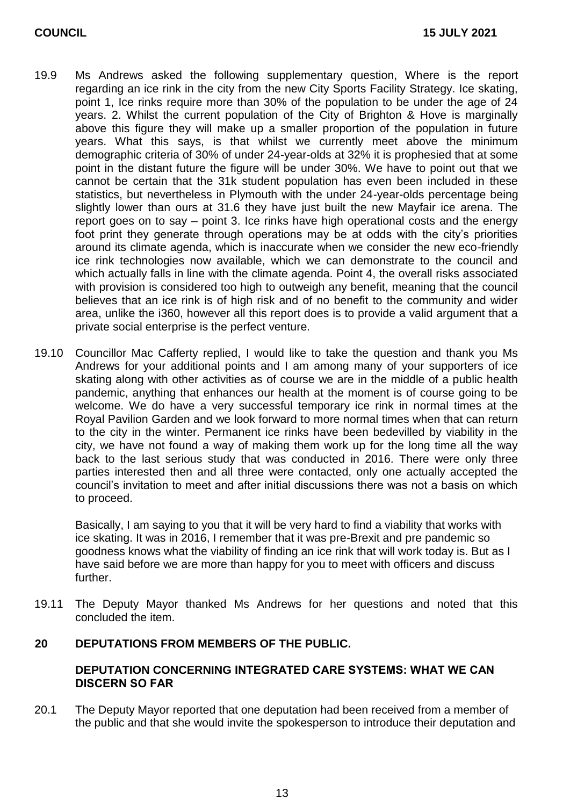- 19.9 Ms Andrews asked the following supplementary question, Where is the report regarding an ice rink in the city from the new City Sports Facility Strategy. Ice skating, point 1, Ice rinks require more than 30% of the population to be under the age of 24 years. 2. Whilst the current population of the City of Brighton & Hove is marginally above this figure they will make up a smaller proportion of the population in future years. What this says, is that whilst we currently meet above the minimum demographic criteria of 30% of under 24-year-olds at 32% it is prophesied that at some point in the distant future the figure will be under 30%. We have to point out that we cannot be certain that the 31k student population has even been included in these statistics, but nevertheless in Plymouth with the under 24-year-olds percentage being slightly lower than ours at 31.6 they have just built the new Mayfair ice arena. The report goes on to say – point 3. Ice rinks have high operational costs and the energy foot print they generate through operations may be at odds with the city's priorities around its climate agenda, which is inaccurate when we consider the new eco-friendly ice rink technologies now available, which we can demonstrate to the council and which actually falls in line with the climate agenda. Point 4, the overall risks associated with provision is considered too high to outweigh any benefit, meaning that the council believes that an ice rink is of high risk and of no benefit to the community and wider area, unlike the i360, however all this report does is to provide a valid argument that a private social enterprise is the perfect venture.
- 19.10 Councillor Mac Cafferty replied, I would like to take the question and thank you Ms Andrews for your additional points and I am among many of your supporters of ice skating along with other activities as of course we are in the middle of a public health pandemic, anything that enhances our health at the moment is of course going to be welcome. We do have a very successful temporary ice rink in normal times at the Royal Pavilion Garden and we look forward to more normal times when that can return to the city in the winter. Permanent ice rinks have been bedevilled by viability in the city, we have not found a way of making them work up for the long time all the way back to the last serious study that was conducted in 2016. There were only three parties interested then and all three were contacted, only one actually accepted the council's invitation to meet and after initial discussions there was not a basis on which to proceed.

Basically, I am saying to you that it will be very hard to find a viability that works with ice skating. It was in 2016, I remember that it was pre-Brexit and pre pandemic so goodness knows what the viability of finding an ice rink that will work today is. But as I have said before we are more than happy for you to meet with officers and discuss further.

19.11 The Deputy Mayor thanked Ms Andrews for her questions and noted that this concluded the item.

#### **20 DEPUTATIONS FROM MEMBERS OF THE PUBLIC.**

#### **DEPUTATION CONCERNING INTEGRATED CARE SYSTEMS: WHAT WE CAN DISCERN SO FAR**

20.1 The Deputy Mayor reported that one deputation had been received from a member of the public and that she would invite the spokesperson to introduce their deputation and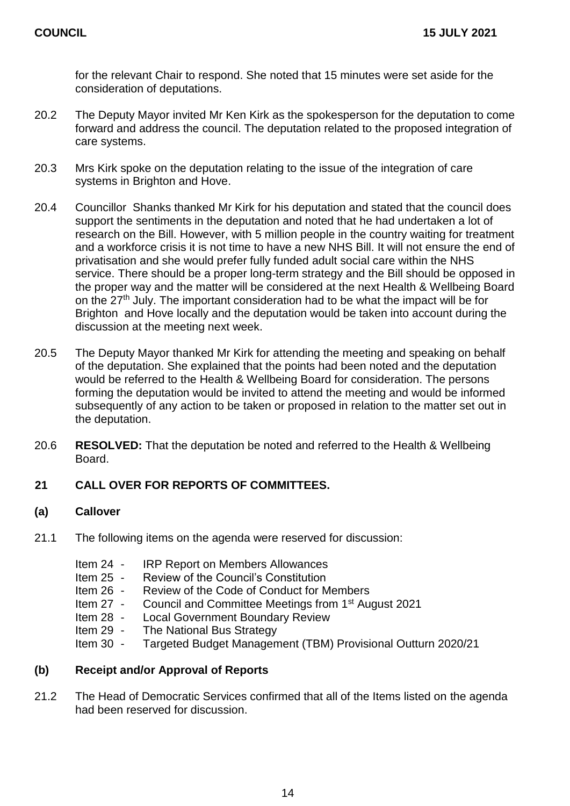for the relevant Chair to respond. She noted that 15 minutes were set aside for the consideration of deputations.

- 20.2 The Deputy Mayor invited Mr Ken Kirk as the spokesperson for the deputation to come forward and address the council. The deputation related to the proposed integration of care systems.
- 20.3 Mrs Kirk spoke on the deputation relating to the issue of the integration of care systems in Brighton and Hove.
- 20.4 Councillor Shanks thanked Mr Kirk for his deputation and stated that the council does support the sentiments in the deputation and noted that he had undertaken a lot of research on the Bill. However, with 5 million people in the country waiting for treatment and a workforce crisis it is not time to have a new NHS Bill. It will not ensure the end of privatisation and she would prefer fully funded adult social care within the NHS service. There should be a proper long-term strategy and the Bill should be opposed in the proper way and the matter will be considered at the next Health & Wellbeing Board on the 27th July. The important consideration had to be what the impact will be for Brighton and Hove locally and the deputation would be taken into account during the discussion at the meeting next week.
- 20.5 The Deputy Mayor thanked Mr Kirk for attending the meeting and speaking on behalf of the deputation. She explained that the points had been noted and the deputation would be referred to the Health & Wellbeing Board for consideration. The persons forming the deputation would be invited to attend the meeting and would be informed subsequently of any action to be taken or proposed in relation to the matter set out in the deputation.
- 20.6 **RESOLVED:** That the deputation be noted and referred to the Health & Wellbeing Board.

## **21 CALL OVER FOR REPORTS OF COMMITTEES.**

#### **(a) Callover**

- 21.1 The following items on the agenda were reserved for discussion:
	- Item 24 IRP Report on Members Allowances
	- Item 25 Review of the Council's Constitution
	- Item 26 Review of the Code of Conduct for Members
	- Item 27 Council and Committee Meetings from 1st August 2021
	- Item 28 Local Government Boundary Review
	- Item 29 The National Bus Strategy
	- Item 30 Targeted Budget Management (TBM) Provisional Outturn 2020/21

#### **(b) Receipt and/or Approval of Reports**

21.2 The Head of Democratic Services confirmed that all of the Items listed on the agenda had been reserved for discussion.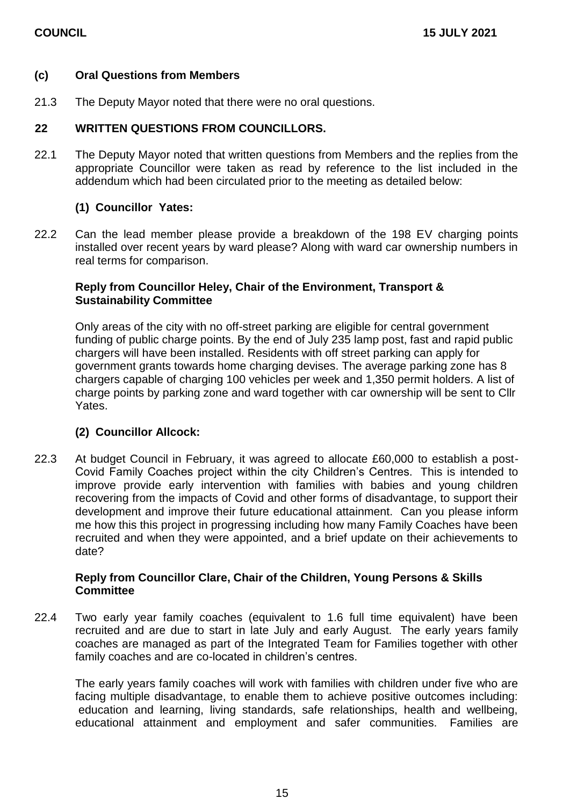#### **(c) Oral Questions from Members**

21.3 The Deputy Mayor noted that there were no oral questions.

#### **22 WRITTEN QUESTIONS FROM COUNCILLORS.**

22.1 The Deputy Mayor noted that written questions from Members and the replies from the appropriate Councillor were taken as read by reference to the list included in the addendum which had been circulated prior to the meeting as detailed below:

## **(1) Councillor Yates:**

22.2 Can the lead member please provide a breakdown of the 198 EV charging points installed over recent years by ward please? Along with ward car ownership numbers in real terms for comparison.

#### **Reply from Councillor Heley, Chair of the Environment, Transport & Sustainability Committee**

Only areas of the city with no off-street parking are eligible for central government funding of public charge points. By the end of July 235 lamp post, fast and rapid public chargers will have been installed. Residents with off street parking can apply for government grants towards home charging devises. The average parking zone has 8 chargers capable of charging 100 vehicles per week and 1,350 permit holders. A list of charge points by parking zone and ward together with car ownership will be sent to Cllr Yates.

#### **(2) Councillor Allcock:**

22.3 At budget Council in February, it was agreed to allocate £60,000 to establish a post-Covid Family Coaches project within the city Children's Centres. This is intended to improve provide early intervention with families with babies and young children recovering from the impacts of Covid and other forms of disadvantage, to support their development and improve their future educational attainment. Can you please inform me how this this project in progressing including how many Family Coaches have been recruited and when they were appointed, and a brief update on their achievements to date?

#### **Reply from Councillor Clare, Chair of the Children, Young Persons & Skills Committee**

22.4 Two early year family coaches (equivalent to 1.6 full time equivalent) have been recruited and are due to start in late July and early August. The early years family coaches are managed as part of the Integrated Team for Families together with other family coaches and are co-located in children's centres.

The early years family coaches will work with families with children under five who are facing multiple disadvantage, to enable them to achieve positive outcomes including: education and learning, living standards, safe relationships, health and wellbeing, educational attainment and employment and safer communities. Families are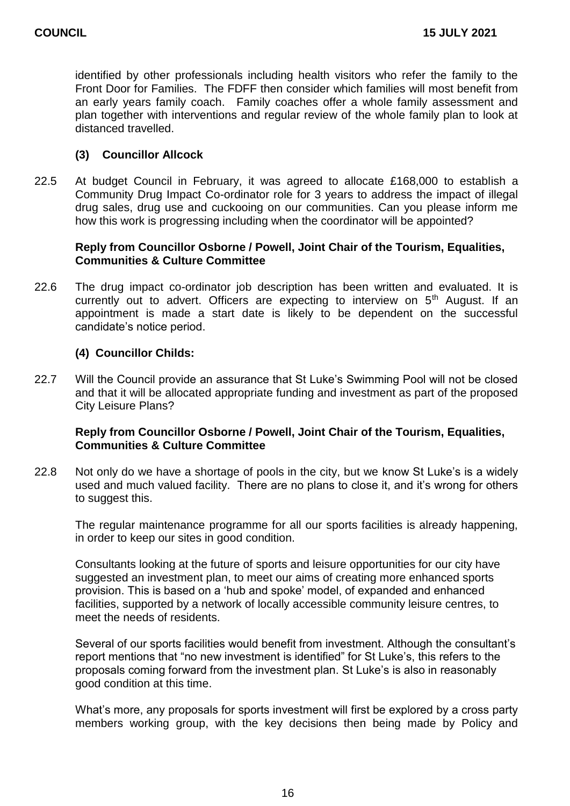identified by other professionals including health visitors who refer the family to the Front Door for Families. The FDFF then consider which families will most benefit from an early years family coach. Family coaches offer a whole family assessment and plan together with interventions and regular review of the whole family plan to look at distanced travelled.

#### **(3) Councillor Allcock**

22.5 At budget Council in February, it was agreed to allocate £168,000 to establish a Community Drug Impact Co-ordinator role for 3 years to address the impact of illegal drug sales, drug use and cuckooing on our communities. Can you please inform me how this work is progressing including when the coordinator will be appointed?

#### **Reply from Councillor Osborne / Powell, Joint Chair of the Tourism, Equalities, Communities & Culture Committee**

22.6 The drug impact co-ordinator job description has been written and evaluated. It is currently out to advert. Officers are expecting to interview on 5<sup>th</sup> August. If an appointment is made a start date is likely to be dependent on the successful candidate's notice period.

## **(4) Councillor Childs:**

22.7 Will the Council provide an assurance that St Luke's Swimming Pool will not be closed and that it will be allocated appropriate funding and investment as part of the proposed City Leisure Plans?

#### **Reply from Councillor Osborne / Powell, Joint Chair of the Tourism, Equalities, Communities & Culture Committee**

22.8 Not only do we have a shortage of pools in the city, but we know St Luke's is a widely used and much valued facility. There are no plans to close it, and it's wrong for others to suggest this.

The regular maintenance programme for all our sports facilities is already happening, in order to keep our sites in good condition.

Consultants looking at the future of sports and leisure opportunities for our city have suggested an investment plan, to meet our aims of creating more enhanced sports provision. This is based on a 'hub and spoke' model, of expanded and enhanced facilities, supported by a network of locally accessible community leisure centres, to meet the needs of residents.

Several of our sports facilities would benefit from investment. Although the consultant's report mentions that "no new investment is identified" for St Luke's, this refers to the proposals coming forward from the investment plan. St Luke's is also in reasonably good condition at this time.

What's more, any proposals for sports investment will first be explored by a cross party members working group, with the key decisions then being made by Policy and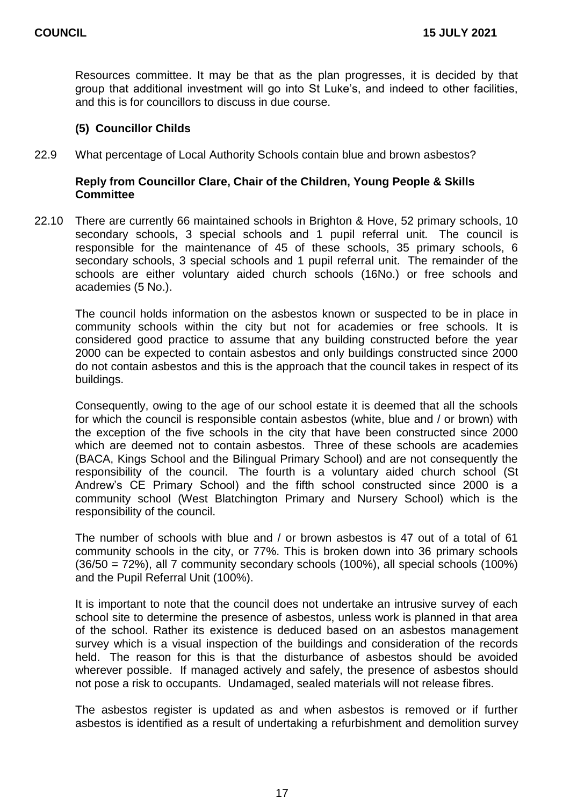Resources committee. It may be that as the plan progresses, it is decided by that group that additional investment will go into St Luke's, and indeed to other facilities, and this is for councillors to discuss in due course.

#### **(5) Councillor Childs**

22.9 What percentage of Local Authority Schools contain blue and brown asbestos?

#### **Reply from Councillor Clare, Chair of the Children, Young People & Skills Committee**

22.10 There are currently 66 maintained schools in Brighton & Hove, 52 primary schools, 10 secondary schools, 3 special schools and 1 pupil referral unit. The council is responsible for the maintenance of 45 of these schools, 35 primary schools, 6 secondary schools, 3 special schools and 1 pupil referral unit. The remainder of the schools are either voluntary aided church schools (16No.) or free schools and academies (5 No.).

The council holds information on the asbestos known or suspected to be in place in community schools within the city but not for academies or free schools. It is considered good practice to assume that any building constructed before the year 2000 can be expected to contain asbestos and only buildings constructed since 2000 do not contain asbestos and this is the approach that the council takes in respect of its buildings.

Consequently, owing to the age of our school estate it is deemed that all the schools for which the council is responsible contain asbestos (white, blue and / or brown) with the exception of the five schools in the city that have been constructed since 2000 which are deemed not to contain asbestos. Three of these schools are academies (BACA, Kings School and the Bilingual Primary School) and are not consequently the responsibility of the council. The fourth is a voluntary aided church school (St Andrew's CE Primary School) and the fifth school constructed since 2000 is a community school (West Blatchington Primary and Nursery School) which is the responsibility of the council.

The number of schools with blue and / or brown asbestos is 47 out of a total of 61 community schools in the city, or 77%. This is broken down into 36 primary schools (36/50 = 72%), all 7 community secondary schools (100%), all special schools (100%) and the Pupil Referral Unit (100%).

It is important to note that the council does not undertake an intrusive survey of each school site to determine the presence of asbestos, unless work is planned in that area of the school. Rather its existence is deduced based on an asbestos management survey which is a visual inspection of the buildings and consideration of the records held. The reason for this is that the disturbance of asbestos should be avoided wherever possible. If managed actively and safely, the presence of asbestos should not pose a risk to occupants. Undamaged, sealed materials will not release fibres.

The asbestos register is updated as and when asbestos is removed or if further asbestos is identified as a result of undertaking a refurbishment and demolition survey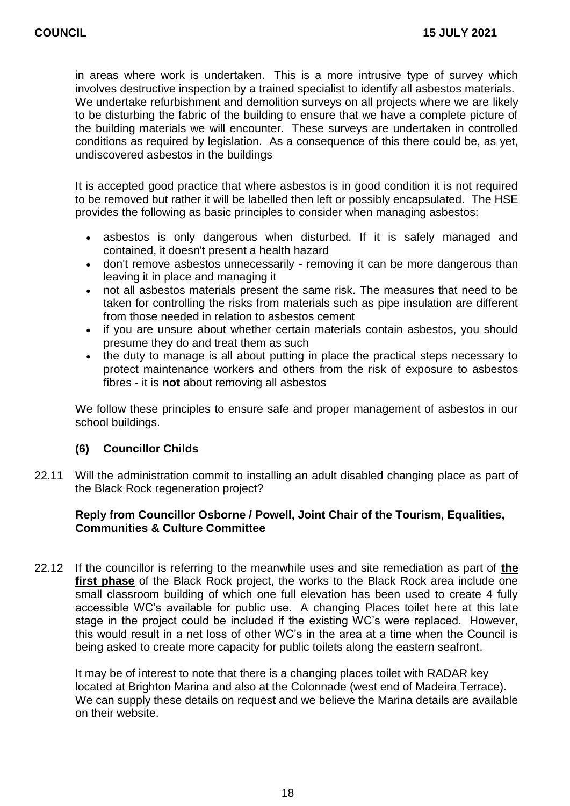in areas where work is undertaken. This is a more intrusive type of survey which involves destructive inspection by a trained specialist to identify all asbestos materials. We undertake refurbishment and demolition surveys on all projects where we are likely to be disturbing the fabric of the building to ensure that we have a complete picture of the building materials we will encounter. These surveys are undertaken in controlled conditions as required by legislation. As a consequence of this there could be, as yet, undiscovered asbestos in the buildings

It is accepted good practice that where asbestos is in good condition it is not required to be removed but rather it will be labelled then left or possibly encapsulated. The HSE provides the following as basic principles to consider when managing asbestos:

- asbestos is only dangerous when disturbed. If it is safely managed and contained, it doesn't present a health hazard
- don't remove asbestos unnecessarily removing it can be more dangerous than leaving it in place and managing it
- not all asbestos materials present the same risk. The measures that need to be taken for controlling the risks from materials such as pipe insulation are different from those needed in relation to asbestos cement
- if you are unsure about whether certain materials contain asbestos, you should presume they do and treat them as such
- the duty to manage is all about putting in place the practical steps necessary to protect maintenance workers and others from the risk of exposure to asbestos fibres - it is **not** about removing all asbestos

We follow these principles to ensure safe and proper management of asbestos in our school buildings.

## **(6) Councillor Childs**

22.11 Will the administration commit to installing an adult disabled changing place as part of the Black Rock regeneration project?

## **Reply from Councillor Osborne / Powell, Joint Chair of the Tourism, Equalities, Communities & Culture Committee**

22.12 If the councillor is referring to the meanwhile uses and site remediation as part of **the first phase** of the Black Rock project, the works to the Black Rock area include one small classroom building of which one full elevation has been used to create 4 fully accessible WC's available for public use. A changing Places toilet here at this late stage in the project could be included if the existing WC's were replaced. However, this would result in a net loss of other WC's in the area at a time when the Council is being asked to create more capacity for public toilets along the eastern seafront.

It may be of interest to note that there is a changing places toilet with RADAR key located at Brighton Marina and also at the Colonnade (west end of Madeira Terrace). We can supply these details on request and we believe the Marina details are available on their website.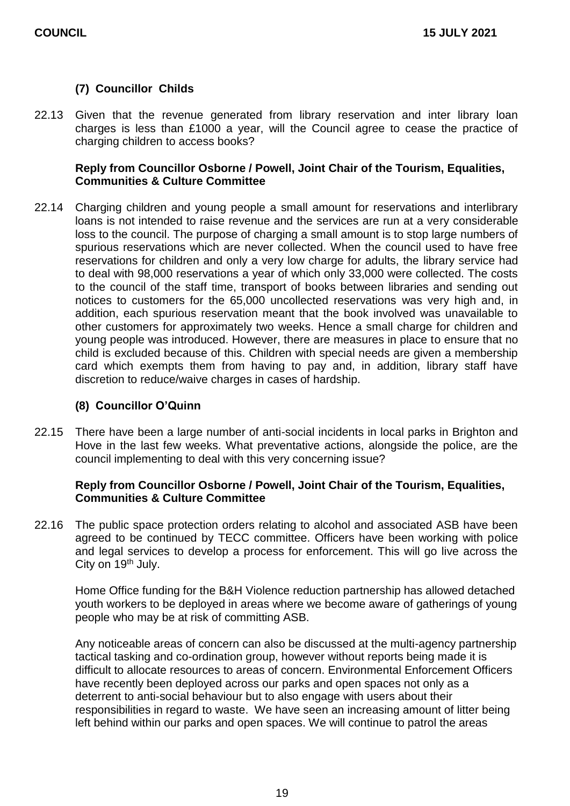## **(7) Councillor Childs**

22.13 Given that the revenue generated from library reservation and inter library loan charges is less than £1000 a year, will the Council agree to cease the practice of charging children to access books?

#### **Reply from Councillor Osborne / Powell, Joint Chair of the Tourism, Equalities, Communities & Culture Committee**

22.14 Charging children and young people a small amount for reservations and interlibrary loans is not intended to raise revenue and the services are run at a very considerable loss to the council. The purpose of charging a small amount is to stop large numbers of spurious reservations which are never collected. When the council used to have free reservations for children and only a very low charge for adults, the library service had to deal with 98,000 reservations a year of which only 33,000 were collected. The costs to the council of the staff time, transport of books between libraries and sending out notices to customers for the 65,000 uncollected reservations was very high and, in addition, each spurious reservation meant that the book involved was unavailable to other customers for approximately two weeks. Hence a small charge for children and young people was introduced. However, there are measures in place to ensure that no child is excluded because of this. Children with special needs are given a membership card which exempts them from having to pay and, in addition, library staff have discretion to reduce/waive charges in cases of hardship.

#### **(8) Councillor O'Quinn**

22.15 There have been a large number of anti-social incidents in local parks in Brighton and Hove in the last few weeks. What preventative actions, alongside the police, are the council implementing to deal with this very concerning issue?

#### **Reply from Councillor Osborne / Powell, Joint Chair of the Tourism, Equalities, Communities & Culture Committee**

22.16 The public space protection orders relating to alcohol and associated ASB have been agreed to be continued by TECC committee. Officers have been working with police and legal services to develop a process for enforcement. This will go live across the City on 19<sup>th</sup> July.

Home Office funding for the B&H Violence reduction partnership has allowed detached youth workers to be deployed in areas where we become aware of gatherings of young people who may be at risk of committing ASB.

Any noticeable areas of concern can also be discussed at the multi-agency partnership tactical tasking and co-ordination group, however without reports being made it is difficult to allocate resources to areas of concern. Environmental Enforcement Officers have recently been deployed across our parks and open spaces not only as a deterrent to anti-social behaviour but to also engage with users about their responsibilities in regard to waste. We have seen an increasing amount of litter being left behind within our parks and open spaces. We will continue to patrol the areas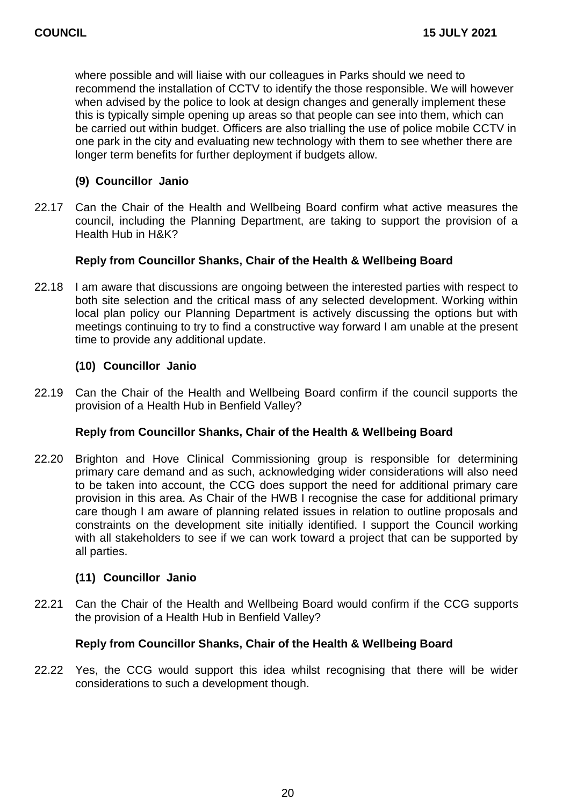where possible and will liaise with our colleagues in Parks should we need to recommend the installation of CCTV to identify the those responsible. We will however when advised by the police to look at design changes and generally implement these this is typically simple opening up areas so that people can see into them, which can be carried out within budget. Officers are also trialling the use of police mobile CCTV in one park in the city and evaluating new technology with them to see whether there are longer term benefits for further deployment if budgets allow.

## **(9) Councillor Janio**

22.17 Can the Chair of the Health and Wellbeing Board confirm what active measures the council, including the Planning Department, are taking to support the provision of a Health Hub in H&K?

## **Reply from Councillor Shanks, Chair of the Health & Wellbeing Board**

22.18 I am aware that discussions are ongoing between the interested parties with respect to both site selection and the critical mass of any selected development. Working within local plan policy our Planning Department is actively discussing the options but with meetings continuing to try to find a constructive way forward I am unable at the present time to provide any additional update.

## **(10) Councillor Janio**

22.19 Can the Chair of the Health and Wellbeing Board confirm if the council supports the provision of a Health Hub in Benfield Valley?

## **Reply from Councillor Shanks, Chair of the Health & Wellbeing Board**

22.20 Brighton and Hove Clinical Commissioning group is responsible for determining primary care demand and as such, acknowledging wider considerations will also need to be taken into account, the CCG does support the need for additional primary care provision in this area. As Chair of the HWB I recognise the case for additional primary care though I am aware of planning related issues in relation to outline proposals and constraints on the development site initially identified. I support the Council working with all stakeholders to see if we can work toward a project that can be supported by all parties.

#### **(11) Councillor Janio**

22.21 Can the Chair of the Health and Wellbeing Board would confirm if the CCG supports the provision of a Health Hub in Benfield Valley?

#### **Reply from Councillor Shanks, Chair of the Health & Wellbeing Board**

22.22 Yes, the CCG would support this idea whilst recognising that there will be wider considerations to such a development though.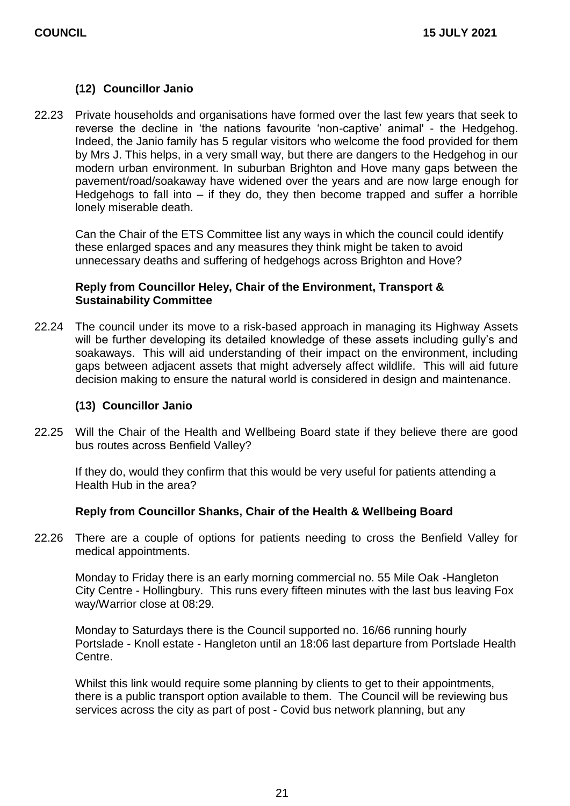#### **(12) Councillor Janio**

22.23 Private households and organisations have formed over the last few years that seek to reverse the decline in 'the nations favourite 'non-captive' animal' - the Hedgehog. Indeed, the Janio family has 5 regular visitors who welcome the food provided for them by Mrs J. This helps, in a very small way, but there are dangers to the Hedgehog in our modern urban environment. In suburban Brighton and Hove many gaps between the pavement/road/soakaway have widened over the years and are now large enough for Hedgehogs to fall into – if they do, they then become trapped and suffer a horrible lonely miserable death.

Can the Chair of the ETS Committee list any ways in which the council could identify these enlarged spaces and any measures they think might be taken to avoid unnecessary deaths and suffering of hedgehogs across Brighton and Hove?

#### **Reply from Councillor Heley, Chair of the Environment, Transport & Sustainability Committee**

22.24 The council under its move to a risk-based approach in managing its Highway Assets will be further developing its detailed knowledge of these assets including gully's and soakaways. This will aid understanding of their impact on the environment, including gaps between adjacent assets that might adversely affect wildlife. This will aid future decision making to ensure the natural world is considered in design and maintenance.

#### **(13) Councillor Janio**

22.25 Will the Chair of the Health and Wellbeing Board state if they believe there are good bus routes across Benfield Valley?

If they do, would they confirm that this would be very useful for patients attending a Health Hub in the area?

#### **Reply from Councillor Shanks, Chair of the Health & Wellbeing Board**

22.26 There are a couple of options for patients needing to cross the Benfield Valley for medical appointments.

Monday to Friday there is an early morning commercial no. 55 Mile Oak -Hangleton City Centre - Hollingbury. This runs every fifteen minutes with the last bus leaving Fox way/Warrior close at 08:29.

Monday to Saturdays there is the Council supported no. 16/66 running hourly Portslade - Knoll estate - Hangleton until an 18:06 last departure from Portslade Health Centre.

Whilst this link would require some planning by clients to get to their appointments, there is a public transport option available to them. The Council will be reviewing bus services across the city as part of post - Covid bus network planning, but any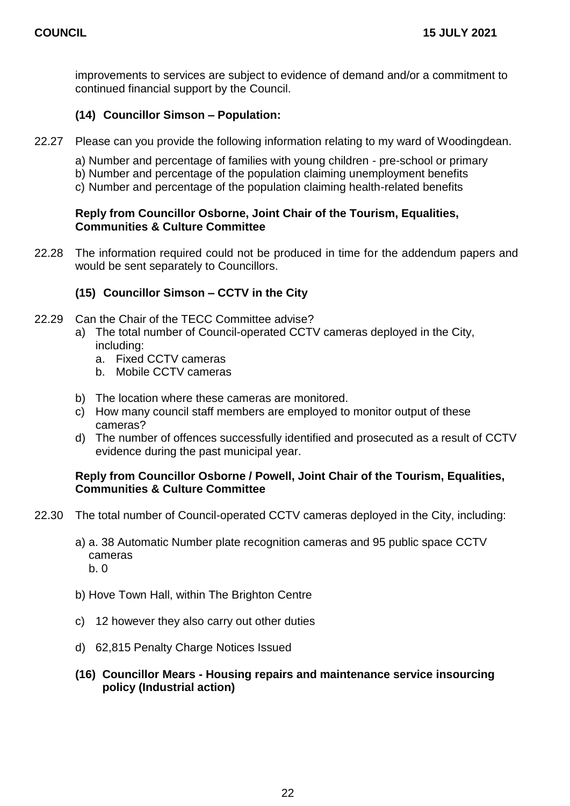improvements to services are subject to evidence of demand and/or a commitment to continued financial support by the Council.

## **(14) Councillor Simson – Population:**

- 22.27 Please can you provide the following information relating to my ward of Woodingdean.
	- a) Number and percentage of families with young children pre-school or primary
	- b) Number and percentage of the population claiming unemployment benefits
	- c) Number and percentage of the population claiming health-related benefits

#### **Reply from Councillor Osborne, Joint Chair of the Tourism, Equalities, Communities & Culture Committee**

22.28 The information required could not be produced in time for the addendum papers and would be sent separately to Councillors.

## **(15) Councillor Simson – CCTV in the City**

- 22.29 Can the Chair of the TECC Committee advise?
	- a) The total number of Council-operated CCTV cameras deployed in the City, including:
		- a. Fixed CCTV cameras
		- b. Mobile CCTV cameras
	- b) The location where these cameras are monitored.
	- c) How many council staff members are employed to monitor output of these cameras?
	- d) The number of offences successfully identified and prosecuted as a result of CCTV evidence during the past municipal year.

#### **Reply from Councillor Osborne / Powell, Joint Chair of the Tourism, Equalities, Communities & Culture Committee**

- 22.30 The total number of Council-operated CCTV cameras deployed in the City, including:
	- a) a. 38 Automatic Number plate recognition cameras and 95 public space CCTV cameras b. 0
	- b) Hove Town Hall, within The Brighton Centre
	- c) 12 however they also carry out other duties
	- d) 62,815 Penalty Charge Notices Issued
	- **(16) Councillor Mears - Housing repairs and maintenance service insourcing policy (Industrial action)**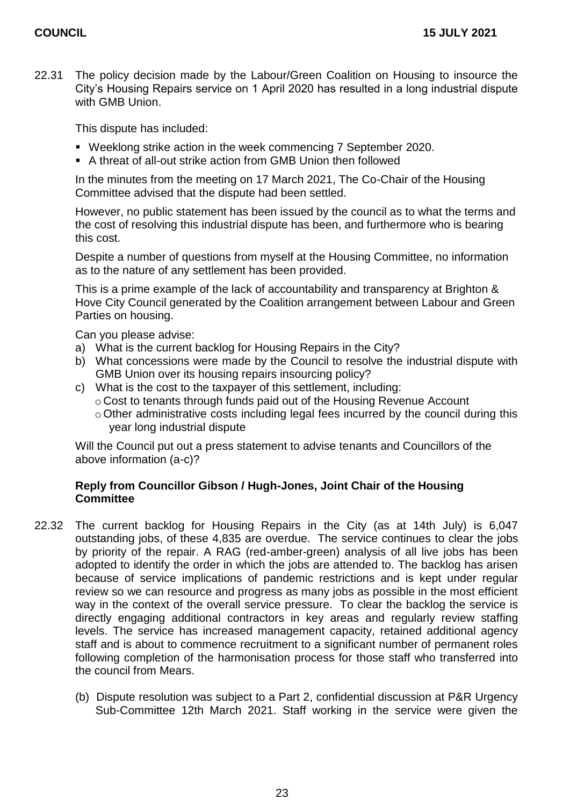22.31 The policy decision made by the Labour/Green Coalition on Housing to insource the City's Housing Repairs service on 1 April 2020 has resulted in a long industrial dispute with GMB Union.

This dispute has included:

- Weeklong strike action in the week commencing 7 September 2020.
- A threat of all-out strike action from GMB Union then followed

In the minutes from the meeting on 17 March 2021, The Co-Chair of the Housing Committee advised that the dispute had been settled.

However, no public statement has been issued by the council as to what the terms and the cost of resolving this industrial dispute has been, and furthermore who is bearing this cost.

Despite a number of questions from myself at the Housing Committee, no information as to the nature of any settlement has been provided.

This is a prime example of the lack of accountability and transparency at Brighton & Hove City Council generated by the Coalition arrangement between Labour and Green Parties on housing.

Can you please advise:

- a) What is the current backlog for Housing Repairs in the City?
- b) What concessions were made by the Council to resolve the industrial dispute with GMB Union over its housing repairs insourcing policy?
- c) What is the cost to the taxpayer of this settlement, including:
	- o Cost to tenants through funds paid out of the Housing Revenue Account
	- $\circ$  Other administrative costs including legal fees incurred by the council during this year long industrial dispute

Will the Council put out a press statement to advise tenants and Councillors of the above information (a-c)?

#### **Reply from Councillor Gibson / Hugh-Jones, Joint Chair of the Housing Committee**

- 22.32 The current backlog for Housing Repairs in the City (as at 14th July) is 6,047 outstanding jobs, of these 4,835 are overdue. The service continues to clear the jobs by priority of the repair. A RAG (red-amber-green) analysis of all live jobs has been adopted to identify the order in which the jobs are attended to. The backlog has arisen because of service implications of pandemic restrictions and is kept under regular review so we can resource and progress as many jobs as possible in the most efficient way in the context of the overall service pressure. To clear the backlog the service is directly engaging additional contractors in key areas and regularly review staffing levels. The service has increased management capacity, retained additional agency staff and is about to commence recruitment to a significant number of permanent roles following completion of the harmonisation process for those staff who transferred into the council from Mears.
	- (b) Dispute resolution was subject to a Part 2, confidential discussion at P&R Urgency Sub-Committee 12th March 2021. Staff working in the service were given the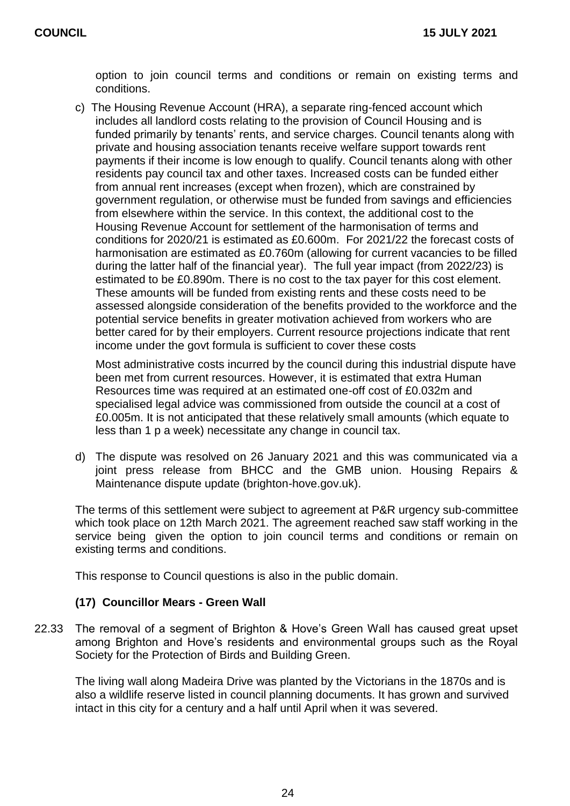option to join council terms and conditions or remain on existing terms and conditions.

c) The Housing Revenue Account (HRA), a separate ring-fenced account which includes all landlord costs relating to the provision of Council Housing and is funded primarily by tenants' rents, and service charges. Council tenants along with private and housing association tenants receive welfare support towards rent payments if their income is low enough to qualify. Council tenants along with other residents pay council tax and other taxes. Increased costs can be funded either from annual rent increases (except when frozen), which are constrained by government regulation, or otherwise must be funded from savings and efficiencies from elsewhere within the service. In this context, the additional cost to the Housing Revenue Account for settlement of the harmonisation of terms and conditions for 2020/21 is estimated as £0.600m. For 2021/22 the forecast costs of harmonisation are estimated as £0.760m (allowing for current vacancies to be filled during the latter half of the financial year). The full year impact (from 2022/23) is estimated to be £0.890m. There is no cost to the tax payer for this cost element. These amounts will be funded from existing rents and these costs need to be assessed alongside consideration of the benefits provided to the workforce and the potential service benefits in greater motivation achieved from workers who are better cared for by their employers. Current resource projections indicate that rent income under the govt formula is sufficient to cover these costs

Most administrative costs incurred by the council during this industrial dispute have been met from current resources. However, it is estimated that extra Human Resources time was required at an estimated one-off cost of £0.032m and specialised legal advice was commissioned from outside the council at a cost of £0.005m. It is not anticipated that these relatively small amounts (which equate to less than 1 p a week) necessitate any change in council tax.

d) The dispute was resolved on 26 January 2021 and this was communicated via a joint press release from BHCC and the GMB union. Housing Repairs & Maintenance dispute update (brighton-hove.gov.uk).

The terms of this settlement were subject to agreement at P&R urgency sub-committee which took place on 12th March 2021. The agreement reached saw staff working in the service being given the option to join council terms and conditions or remain on existing terms and conditions.

This response to Council questions is also in the public domain.

#### **(17) Councillor Mears - Green Wall**

22.33 The removal of a segment of Brighton & Hove's Green Wall has caused great upset among Brighton and Hove's residents and environmental groups such as the Royal Society for the Protection of Birds and Building Green.

The living wall along Madeira Drive was planted by the Victorians in the 1870s and is also a wildlife reserve listed in council planning documents. It has grown and survived intact in this city for a century and a half until April when it was severed.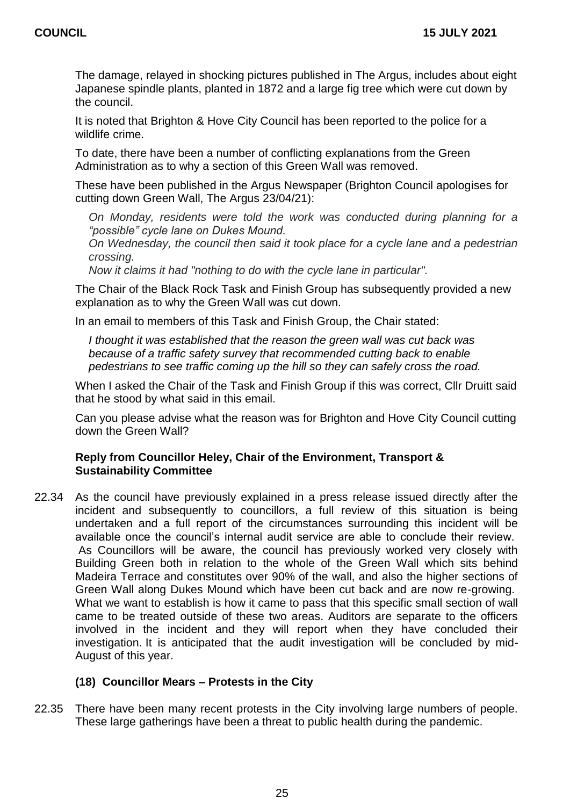The damage, relayed in shocking pictures published in The Argus, includes about eight Japanese spindle plants, planted in 1872 and a large fig tree which were cut down by the council.

It is noted that Brighton & Hove City Council has been reported to the police for a wildlife crime.

To date, there have been a number of conflicting explanations from the Green Administration as to why a section of this Green Wall was removed.

These have been published in the Argus Newspaper (Brighton Council apologises for cutting down Green Wall, The Argus 23/04/21):

*On Monday, residents were told the work was conducted during planning for a "possible" cycle lane on Dukes Mound.*

*On Wednesday, the council then said it took place for a cycle lane and a pedestrian crossing.*

*Now it claims it had "nothing to do with the cycle lane in particular".*

The Chair of the Black Rock Task and Finish Group has subsequently provided a new explanation as to why the Green Wall was cut down.

In an email to members of this Task and Finish Group, the Chair stated:

*I thought it was established that the reason the green wall was cut back was because of a traffic safety survey that recommended cutting back to enable pedestrians to see traffic coming up the hill so they can safely cross the road.*

When I asked the Chair of the Task and Finish Group if this was correct, Cllr Druitt said that he stood by what said in this email.

Can you please advise what the reason was for Brighton and Hove City Council cutting down the Green Wall?

#### **Reply from Councillor Heley, Chair of the Environment, Transport & Sustainability Committee**

22.34 As the council have previously explained in a press release issued directly after the incident and subsequently to councillors, a full review of this situation is being undertaken and a full report of the circumstances surrounding this incident will be available once the council's internal audit service are able to conclude their review. As Councillors will be aware, the council has previously worked very closely with Building Green both in relation to the whole of the Green Wall which sits behind Madeira Terrace and constitutes over 90% of the wall, and also the higher sections of Green Wall along Dukes Mound which have been cut back and are now re-growing. What we want to establish is how it came to pass that this specific small section of wall came to be treated outside of these two areas. Auditors are separate to the officers involved in the incident and they will report when they have concluded their investigation. It is anticipated that the audit investigation will be concluded by mid-August of this year.

#### **(18) Councillor Mears – Protests in the City**

22.35 There have been many recent protests in the City involving large numbers of people. These large gatherings have been a threat to public health during the pandemic.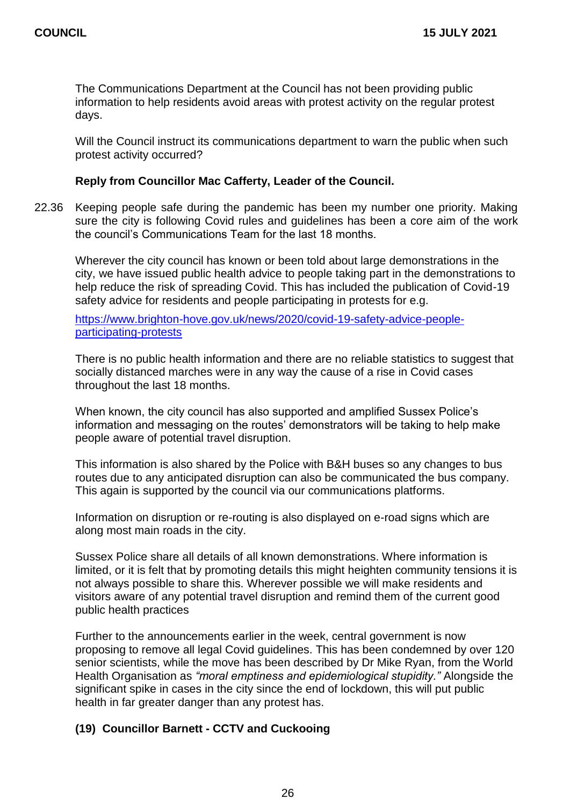The Communications Department at the Council has not been providing public information to help residents avoid areas with protest activity on the regular protest days.

Will the Council instruct its communications department to warn the public when such protest activity occurred?

#### **Reply from Councillor Mac Cafferty, Leader of the Council.**

22.36 Keeping people safe during the pandemic has been my number one priority. Making sure the city is following Covid rules and guidelines has been a core aim of the work the council's Communications Team for the last 18 months.

Wherever the city council has known or been told about large demonstrations in the city, we have issued public health advice to people taking part in the demonstrations to help reduce the risk of spreading Covid. This has included the publication of Covid-19 safety advice for residents and people participating in protests for e.g.

[https://www.brighton-hove.gov.uk/news/2020/covid-19-safety-advice-people](https://www.brighton-hove.gov.uk/news/2020/covid-19-safety-advice-people-participating-protests)[participating-protests](https://www.brighton-hove.gov.uk/news/2020/covid-19-safety-advice-people-participating-protests)

There is no public health information and there are no reliable statistics to suggest that socially distanced marches were in any way the cause of a rise in Covid cases throughout the last 18 months.

When known, the city council has also supported and amplified Sussex Police's information and messaging on the routes' demonstrators will be taking to help make people aware of potential travel disruption.

This information is also shared by the Police with B&H buses so any changes to bus routes due to any anticipated disruption can also be communicated the bus company. This again is supported by the council via our communications platforms.

Information on disruption or re-routing is also displayed on e-road signs which are along most main roads in the city.

Sussex Police share all details of all known demonstrations. Where information is limited, or it is felt that by promoting details this might heighten community tensions it is not always possible to share this. Wherever possible we will make residents and visitors aware of any potential travel disruption and remind them of the current good public health practices

Further to the announcements earlier in the week, central government is now proposing to remove all legal Covid guidelines. This has been condemned by over 120 senior scientists, while the move has been described by Dr Mike Ryan, from the World Health Organisation as *"moral emptiness and epidemiological stupidity."* Alongside the significant spike in cases in the city since the end of lockdown, this will put public health in far greater danger than any protest has.

#### **(19) Councillor Barnett - CCTV and Cuckooing**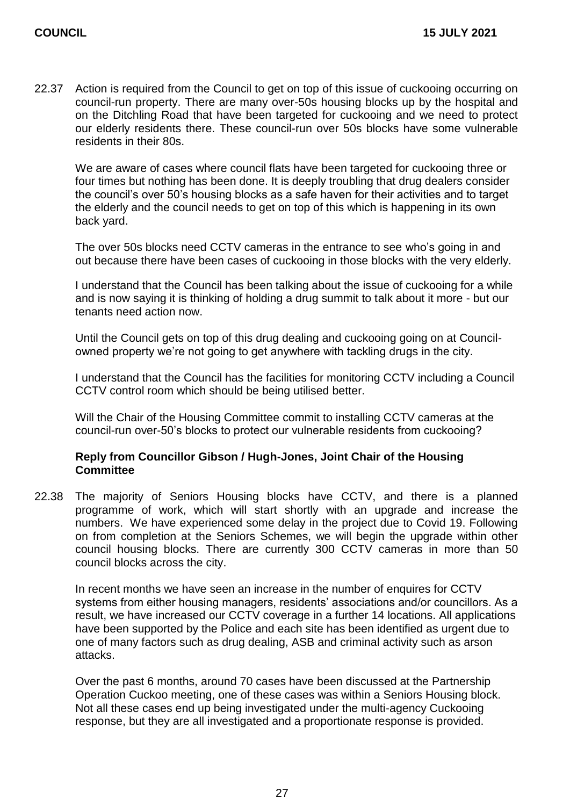22.37 Action is required from the Council to get on top of this issue of cuckooing occurring on council-run property. There are many over-50s housing blocks up by the hospital and on the Ditchling Road that have been targeted for cuckooing and we need to protect our elderly residents there. These council-run over 50s blocks have some vulnerable residents in their 80s.

We are aware of cases where council flats have been targeted for cuckooing three or four times but nothing has been done. It is deeply troubling that drug dealers consider the council's over 50's housing blocks as a safe haven for their activities and to target the elderly and the council needs to get on top of this which is happening in its own back yard.

The over 50s blocks need CCTV cameras in the entrance to see who's going in and out because there have been cases of cuckooing in those blocks with the very elderly.

I understand that the Council has been talking about the issue of cuckooing for a while and is now saying it is thinking of holding a drug summit to talk about it more - but our tenants need action now.

Until the Council gets on top of this drug dealing and cuckooing going on at Councilowned property we're not going to get anywhere with tackling drugs in the city.

I understand that the Council has the facilities for monitoring CCTV including a Council CCTV control room which should be being utilised better.

Will the Chair of the Housing Committee commit to installing CCTV cameras at the council-run over-50's blocks to protect our vulnerable residents from cuckooing?

#### **Reply from Councillor Gibson / Hugh-Jones, Joint Chair of the Housing Committee**

22.38 The majority of Seniors Housing blocks have CCTV, and there is a planned programme of work, which will start shortly with an upgrade and increase the numbers. We have experienced some delay in the project due to Covid 19. Following on from completion at the Seniors Schemes, we will begin the upgrade within other council housing blocks. There are currently 300 CCTV cameras in more than 50 council blocks across the city.

In recent months we have seen an increase in the number of enquires for CCTV systems from either housing managers, residents' associations and/or councillors. As a result, we have increased our CCTV coverage in a further 14 locations. All applications have been supported by the Police and each site has been identified as urgent due to one of many factors such as drug dealing, ASB and criminal activity such as arson attacks.

Over the past 6 months, around 70 cases have been discussed at the Partnership Operation Cuckoo meeting, one of these cases was within a Seniors Housing block. Not all these cases end up being investigated under the multi-agency Cuckooing response, but they are all investigated and a proportionate response is provided.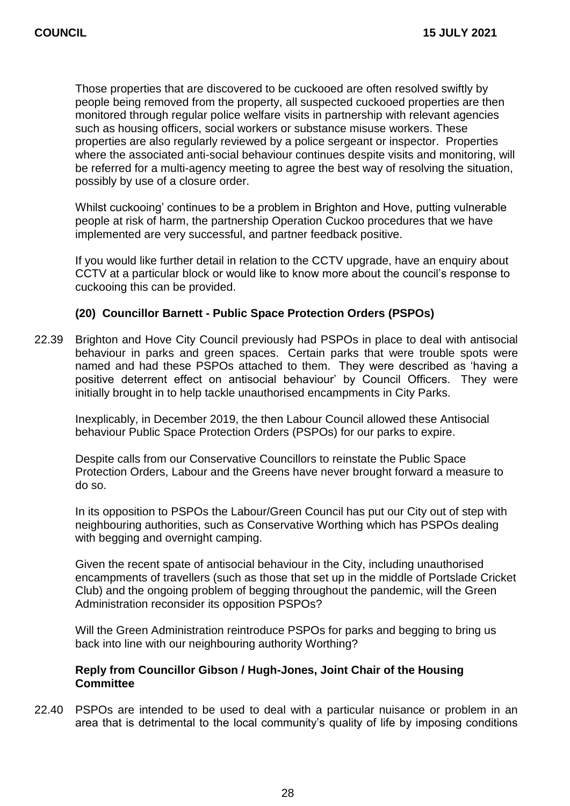Those properties that are discovered to be cuckooed are often resolved swiftly by people being removed from the property, all suspected cuckooed properties are then monitored through regular police welfare visits in partnership with relevant agencies such as housing officers, social workers or substance misuse workers. These properties are also regularly reviewed by a police sergeant or inspector. Properties where the associated anti-social behaviour continues despite visits and monitoring, will be referred for a multi-agency meeting to agree the best way of resolving the situation, possibly by use of a closure order.

Whilst cuckooing' continues to be a problem in Brighton and Hove, putting vulnerable people at risk of harm, the partnership Operation Cuckoo procedures that we have implemented are very successful, and partner feedback positive.

If you would like further detail in relation to the CCTV upgrade, have an enquiry about CCTV at a particular block or would like to know more about the council's response to cuckooing this can be provided.

#### **(20) Councillor Barnett - Public Space Protection Orders (PSPOs)**

22.39 Brighton and Hove City Council previously had PSPOs in place to deal with antisocial behaviour in parks and green spaces. Certain parks that were trouble spots were named and had these PSPOs attached to them. They were described as 'having a positive deterrent effect on antisocial behaviour' by Council Officers. They were initially brought in to help tackle unauthorised encampments in City Parks.

Inexplicably, in December 2019, the then Labour Council allowed these Antisocial behaviour Public Space Protection Orders (PSPOs) for our parks to expire.

Despite calls from our Conservative Councillors to reinstate the Public Space Protection Orders, Labour and the Greens have never brought forward a measure to do so.

In its opposition to PSPOs the Labour/Green Council has put our City out of step with neighbouring authorities, such as Conservative Worthing which has PSPOs dealing with begging and overnight camping.

Given the recent spate of antisocial behaviour in the City, including unauthorised encampments of travellers (such as those that set up in the middle of Portslade Cricket Club) and the ongoing problem of begging throughout the pandemic, will the Green Administration reconsider its opposition PSPOs?

Will the Green Administration reintroduce PSPOs for parks and begging to bring us back into line with our neighbouring authority Worthing?

#### **Reply from Councillor Gibson / Hugh-Jones, Joint Chair of the Housing Committee**

22.40 PSPOs are intended to be used to deal with a particular nuisance or problem in an area that is detrimental to the local community's quality of life by imposing conditions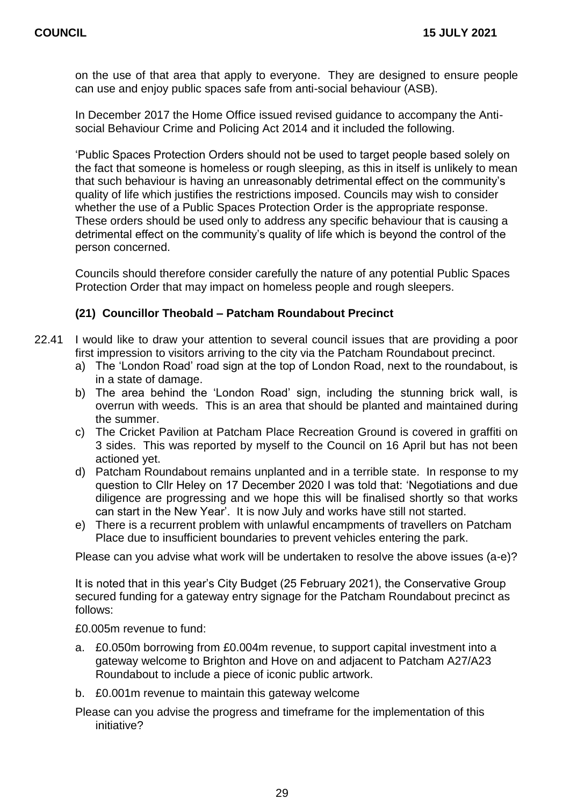on the use of that area that apply to everyone. They are designed to ensure people can use and enjoy public spaces safe from anti-social behaviour (ASB).

In December 2017 the Home Office issued revised guidance to accompany the Antisocial Behaviour Crime and Policing Act 2014 and it included the following.

'Public Spaces Protection Orders should not be used to target people based solely on the fact that someone is homeless or rough sleeping, as this in itself is unlikely to mean that such behaviour is having an unreasonably detrimental effect on the community's quality of life which justifies the restrictions imposed. Councils may wish to consider whether the use of a Public Spaces Protection Order is the appropriate response. These orders should be used only to address any specific behaviour that is causing a detrimental effect on the community's quality of life which is beyond the control of the person concerned.

Councils should therefore consider carefully the nature of any potential Public Spaces Protection Order that may impact on homeless people and rough sleepers.

#### **(21) Councillor Theobald – Patcham Roundabout Precinct**

- 22.41 I would like to draw your attention to several council issues that are providing a poor first impression to visitors arriving to the city via the Patcham Roundabout precinct.
	- a) The 'London Road' road sign at the top of London Road, next to the roundabout, is in a state of damage.
	- b) The area behind the 'London Road' sign, including the stunning brick wall, is overrun with weeds. This is an area that should be planted and maintained during the summer.
	- c) The Cricket Pavilion at Patcham Place Recreation Ground is covered in graffiti on 3 sides. This was reported by myself to the Council on 16 April but has not been actioned yet.
	- d) Patcham Roundabout remains unplanted and in a terrible state. In response to my question to Cllr Heley on 17 December 2020 I was told that: 'Negotiations and due diligence are progressing and we hope this will be finalised shortly so that works can start in the New Year'. It is now July and works have still not started.
	- e) There is a recurrent problem with unlawful encampments of travellers on Patcham Place due to insufficient boundaries to prevent vehicles entering the park.

Please can you advise what work will be undertaken to resolve the above issues (a-e)?

It is noted that in this year's City Budget (25 February 2021), the Conservative Group secured funding for a gateway entry signage for the Patcham Roundabout precinct as follows:

£0.005m revenue to fund:

- a. £0.050m borrowing from £0.004m revenue, to support capital investment into a gateway welcome to Brighton and Hove on and adjacent to Patcham A27/A23 Roundabout to include a piece of iconic public artwork.
- b. £0.001m revenue to maintain this gateway welcome
- Please can you advise the progress and timeframe for the implementation of this initiative?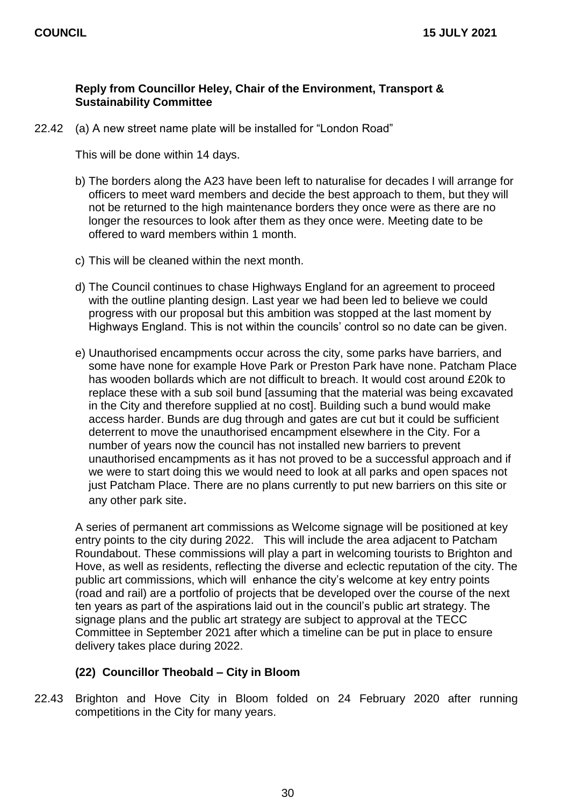#### **Reply from Councillor Heley, Chair of the Environment, Transport & Sustainability Committee**

22.42 (a) A new street name plate will be installed for "London Road"

This will be done within 14 days.

- b) The borders along the A23 have been left to naturalise for decades I will arrange for officers to meet ward members and decide the best approach to them, but they will not be returned to the high maintenance borders they once were as there are no longer the resources to look after them as they once were. Meeting date to be offered to ward members within 1 month.
- c) This will be cleaned within the next month.
- d) The Council continues to chase Highways England for an agreement to proceed with the outline planting design. Last year we had been led to believe we could progress with our proposal but this ambition was stopped at the last moment by Highways England. This is not within the councils' control so no date can be given.
- e) Unauthorised encampments occur across the city, some parks have barriers, and some have none for example Hove Park or Preston Park have none. Patcham Place has wooden bollards which are not difficult to breach. It would cost around £20k to replace these with a sub soil bund [assuming that the material was being excavated in the City and therefore supplied at no cost]. Building such a bund would make access harder. Bunds are dug through and gates are cut but it could be sufficient deterrent to move the unauthorised encampment elsewhere in the City. For a number of years now the council has not installed new barriers to prevent unauthorised encampments as it has not proved to be a successful approach and if we were to start doing this we would need to look at all parks and open spaces not just Patcham Place. There are no plans currently to put new barriers on this site or any other park site.

A series of permanent art commissions as Welcome signage will be positioned at key entry points to the city during 2022. This will include the area adjacent to Patcham Roundabout. These commissions will play a part in welcoming tourists to Brighton and Hove, as well as residents, reflecting the diverse and eclectic reputation of the city. The public art commissions, which will enhance the city's welcome at key entry points (road and rail) are a portfolio of projects that be developed over the course of the next ten years as part of the aspirations laid out in the council's public art strategy. The signage plans and the public art strategy are subject to approval at the TECC Committee in September 2021 after which a timeline can be put in place to ensure delivery takes place during 2022.

#### **(22) Councillor Theobald – City in Bloom**

22.43 Brighton and Hove City in Bloom folded on 24 February 2020 after running competitions in the City for many years.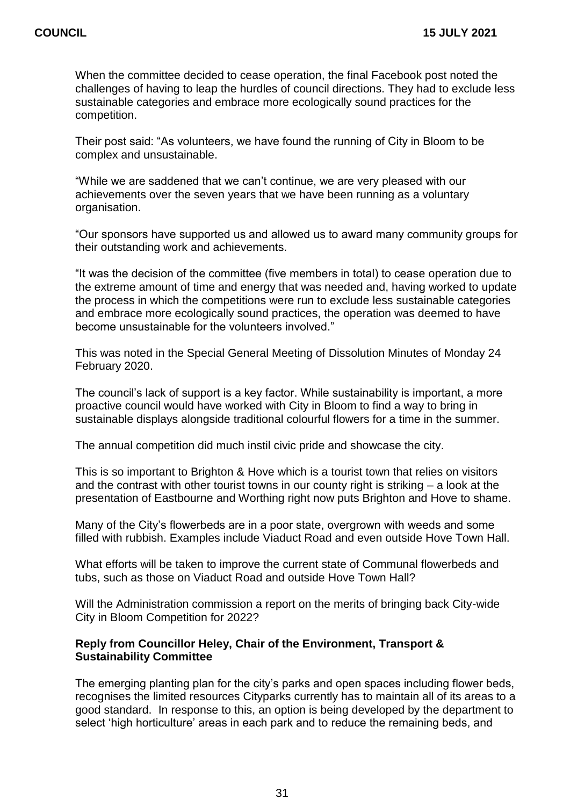When the committee decided to cease operation, the final Facebook post noted the challenges of having to leap the hurdles of council directions. They had to exclude less sustainable categories and embrace more ecologically sound practices for the competition.

Their post said: "As volunteers, we have found the running of City in Bloom to be complex and unsustainable.

"While we are saddened that we can't continue, we are very pleased with our achievements over the seven years that we have been running as a voluntary organisation.

"Our sponsors have supported us and allowed us to award many community groups for their outstanding work and achievements.

"It was the decision of the committee (five members in total) to cease operation due to the extreme amount of time and energy that was needed and, having worked to update the process in which the competitions were run to exclude less sustainable categories and embrace more ecologically sound practices, the operation was deemed to have become unsustainable for the volunteers involved."

This was noted in the Special General Meeting of Dissolution Minutes of Monday 24 February 2020.

The council's lack of support is a key factor. While sustainability is important, a more proactive council would have worked with City in Bloom to find a way to bring in sustainable displays alongside traditional colourful flowers for a time in the summer.

The annual competition did much instil civic pride and showcase the city.

This is so important to Brighton & Hove which is a tourist town that relies on visitors and the contrast with other tourist towns in our county right is striking – a look at the presentation of Eastbourne and Worthing right now puts Brighton and Hove to shame.

Many of the City's flowerbeds are in a poor state, overgrown with weeds and some filled with rubbish. Examples include Viaduct Road and even outside Hove Town Hall.

What efforts will be taken to improve the current state of Communal flowerbeds and tubs, such as those on Viaduct Road and outside Hove Town Hall?

Will the Administration commission a report on the merits of bringing back City-wide City in Bloom Competition for 2022?

#### **Reply from Councillor Heley, Chair of the Environment, Transport & Sustainability Committee**

The emerging planting plan for the city's parks and open spaces including flower beds, recognises the limited resources Cityparks currently has to maintain all of its areas to a good standard. In response to this, an option is being developed by the department to select 'high horticulture' areas in each park and to reduce the remaining beds, and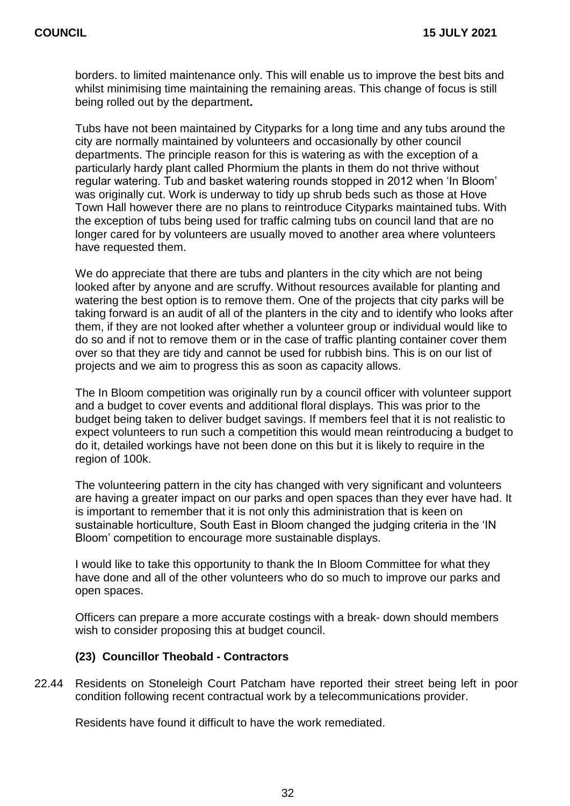borders. to limited maintenance only. This will enable us to improve the best bits and whilst minimising time maintaining the remaining areas. This change of focus is still being rolled out by the department**.**

Tubs have not been maintained by Cityparks for a long time and any tubs around the city are normally maintained by volunteers and occasionally by other council departments. The principle reason for this is watering as with the exception of a particularly hardy plant called Phormium the plants in them do not thrive without regular watering. Tub and basket watering rounds stopped in 2012 when 'In Bloom' was originally cut. Work is underway to tidy up shrub beds such as those at Hove Town Hall however there are no plans to reintroduce Cityparks maintained tubs. With the exception of tubs being used for traffic calming tubs on council land that are no longer cared for by volunteers are usually moved to another area where volunteers have requested them.

We do appreciate that there are tubs and planters in the city which are not being looked after by anyone and are scruffy. Without resources available for planting and watering the best option is to remove them. One of the projects that city parks will be taking forward is an audit of all of the planters in the city and to identify who looks after them, if they are not looked after whether a volunteer group or individual would like to do so and if not to remove them or in the case of traffic planting container cover them over so that they are tidy and cannot be used for rubbish bins. This is on our list of projects and we aim to progress this as soon as capacity allows.

The In Bloom competition was originally run by a council officer with volunteer support and a budget to cover events and additional floral displays. This was prior to the budget being taken to deliver budget savings. If members feel that it is not realistic to expect volunteers to run such a competition this would mean reintroducing a budget to do it, detailed workings have not been done on this but it is likely to require in the region of 100k.

The volunteering pattern in the city has changed with very significant and volunteers are having a greater impact on our parks and open spaces than they ever have had. It is important to remember that it is not only this administration that is keen on sustainable horticulture, South East in Bloom changed the judging criteria in the 'IN Bloom' competition to encourage more sustainable displays.

I would like to take this opportunity to thank the In Bloom Committee for what they have done and all of the other volunteers who do so much to improve our parks and open spaces.

Officers can prepare a more accurate costings with a break- down should members wish to consider proposing this at budget council.

#### **(23) Councillor Theobald - Contractors**

22.44 Residents on Stoneleigh Court Patcham have reported their street being left in poor condition following recent contractual work by a telecommunications provider.

Residents have found it difficult to have the work remediated.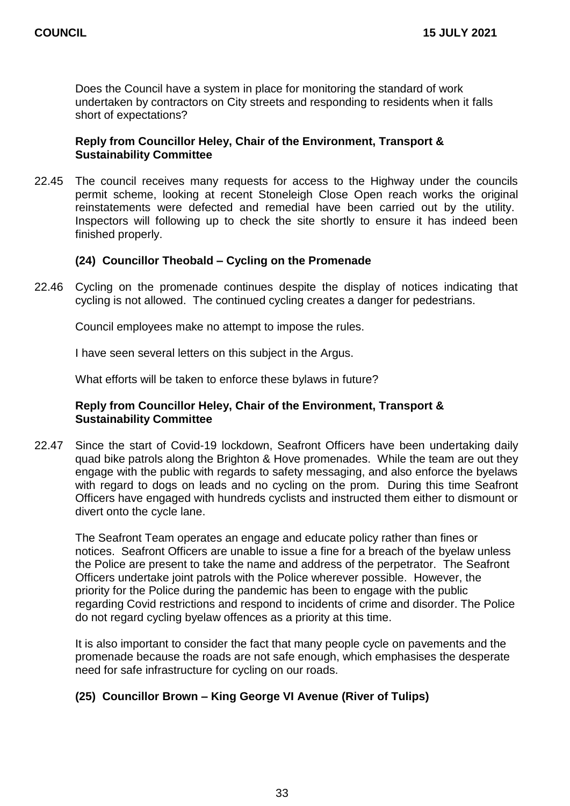Does the Council have a system in place for monitoring the standard of work undertaken by contractors on City streets and responding to residents when it falls short of expectations?

#### **Reply from Councillor Heley, Chair of the Environment, Transport & Sustainability Committee**

22.45 The council receives many requests for access to the Highway under the councils permit scheme, looking at recent Stoneleigh Close Open reach works the original reinstatements were defected and remedial have been carried out by the utility. Inspectors will following up to check the site shortly to ensure it has indeed been finished properly.

#### **(24) Councillor Theobald – Cycling on the Promenade**

22.46 Cycling on the promenade continues despite the display of notices indicating that cycling is not allowed. The continued cycling creates a danger for pedestrians.

Council employees make no attempt to impose the rules.

I have seen several letters on this subject in the Argus.

What efforts will be taken to enforce these bylaws in future?

#### **Reply from Councillor Heley, Chair of the Environment, Transport & Sustainability Committee**

22.47 Since the start of Covid-19 lockdown, Seafront Officers have been undertaking daily quad bike patrols along the Brighton & Hove promenades. While the team are out they engage with the public with regards to safety messaging, and also enforce the byelaws with regard to dogs on leads and no cycling on the prom. During this time Seafront Officers have engaged with hundreds cyclists and instructed them either to dismount or divert onto the cycle lane.

The Seafront Team operates an engage and educate policy rather than fines or notices. Seafront Officers are unable to issue a fine for a breach of the byelaw unless the Police are present to take the name and address of the perpetrator. The Seafront Officers undertake joint patrols with the Police wherever possible. However, the priority for the Police during the pandemic has been to engage with the public regarding Covid restrictions and respond to incidents of crime and disorder. The Police do not regard cycling byelaw offences as a priority at this time.

It is also important to consider the fact that many people cycle on pavements and the promenade because the roads are not safe enough, which emphasises the desperate need for safe infrastructure for cycling on our roads.

#### **(25) Councillor Brown – King George VI Avenue (River of Tulips)**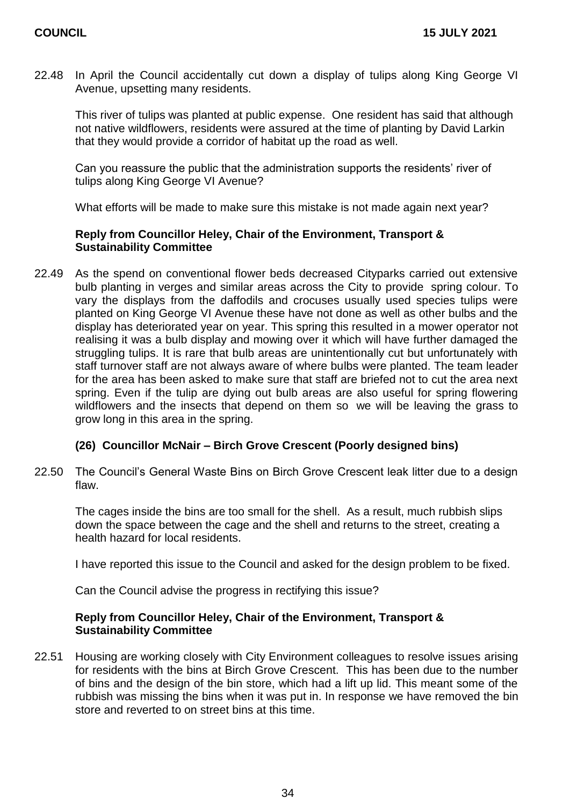22.48 In April the Council accidentally cut down a display of tulips along King George VI Avenue, upsetting many residents.

This river of tulips was planted at public expense. One resident has said that although not native wildflowers, residents were assured at the time of planting by David Larkin that they would provide a corridor of habitat up the road as well.

Can you reassure the public that the administration supports the residents' river of tulips along King George VI Avenue?

What efforts will be made to make sure this mistake is not made again next year?

#### **Reply from Councillor Heley, Chair of the Environment, Transport & Sustainability Committee**

22.49 As the spend on conventional flower beds decreased Cityparks carried out extensive bulb planting in verges and similar areas across the City to provide spring colour. To vary the displays from the daffodils and crocuses usually used species tulips were planted on King George VI Avenue these have not done as well as other bulbs and the display has deteriorated year on year. This spring this resulted in a mower operator not realising it was a bulb display and mowing over it which will have further damaged the struggling tulips. It is rare that bulb areas are unintentionally cut but unfortunately with staff turnover staff are not always aware of where bulbs were planted. The team leader for the area has been asked to make sure that staff are briefed not to cut the area next spring. Even if the tulip are dying out bulb areas are also useful for spring flowering wildflowers and the insects that depend on them so we will be leaving the grass to grow long in this area in the spring.

#### **(26) Councillor McNair – Birch Grove Crescent (Poorly designed bins)**

22.50 The Council's General Waste Bins on Birch Grove Crescent leak litter due to a design flaw.

The cages inside the bins are too small for the shell. As a result, much rubbish slips down the space between the cage and the shell and returns to the street, creating a health hazard for local residents.

I have reported this issue to the Council and asked for the design problem to be fixed.

Can the Council advise the progress in rectifying this issue?

#### **Reply from Councillor Heley, Chair of the Environment, Transport & Sustainability Committee**

22.51 Housing are working closely with City Environment colleagues to resolve issues arising for residents with the bins at Birch Grove Crescent. This has been due to the number of bins and the design of the bin store, which had a lift up lid. This meant some of the rubbish was missing the bins when it was put in. In response we have removed the bin store and reverted to on street bins at this time.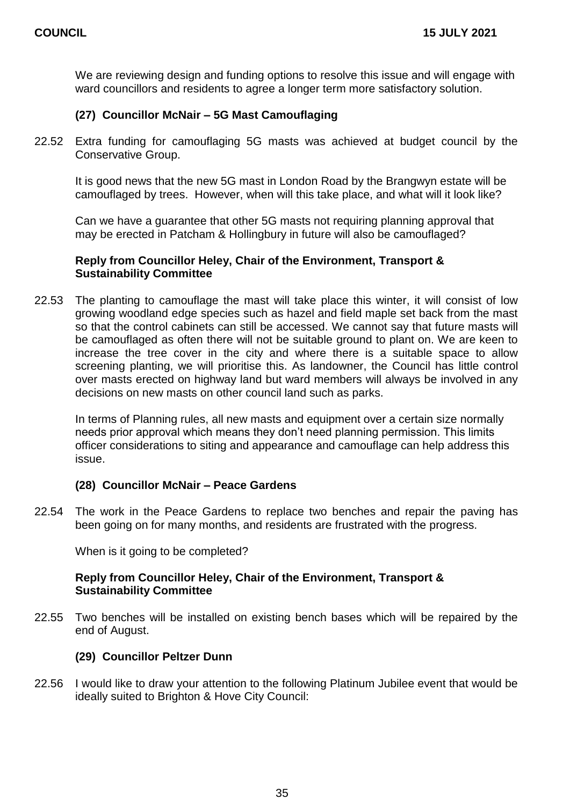We are reviewing design and funding options to resolve this issue and will engage with ward councillors and residents to agree a longer term more satisfactory solution.

#### **(27) Councillor McNair – 5G Mast Camouflaging**

22.52 Extra funding for camouflaging 5G masts was achieved at budget council by the Conservative Group.

It is good news that the new 5G mast in London Road by the Brangwyn estate will be camouflaged by trees. However, when will this take place, and what will it look like?

Can we have a guarantee that other 5G masts not requiring planning approval that may be erected in Patcham & Hollingbury in future will also be camouflaged?

#### **Reply from Councillor Heley, Chair of the Environment, Transport & Sustainability Committee**

22.53 The planting to camouflage the mast will take place this winter, it will consist of low growing woodland edge species such as hazel and field maple set back from the mast so that the control cabinets can still be accessed. We cannot say that future masts will be camouflaged as often there will not be suitable ground to plant on. We are keen to increase the tree cover in the city and where there is a suitable space to allow screening planting, we will prioritise this. As landowner, the Council has little control over masts erected on highway land but ward members will always be involved in any decisions on new masts on other council land such as parks.

In terms of Planning rules, all new masts and equipment over a certain size normally needs prior approval which means they don't need planning permission. This limits officer considerations to siting and appearance and camouflage can help address this issue.

#### **(28) Councillor McNair – Peace Gardens**

22.54 The work in the Peace Gardens to replace two benches and repair the paving has been going on for many months, and residents are frustrated with the progress.

When is it going to be completed?

#### **Reply from Councillor Heley, Chair of the Environment, Transport & Sustainability Committee**

22.55 Two benches will be installed on existing bench bases which will be repaired by the end of August.

#### **(29) Councillor Peltzer Dunn**

22.56 I would like to draw your attention to the following Platinum Jubilee event that would be ideally suited to Brighton & Hove City Council: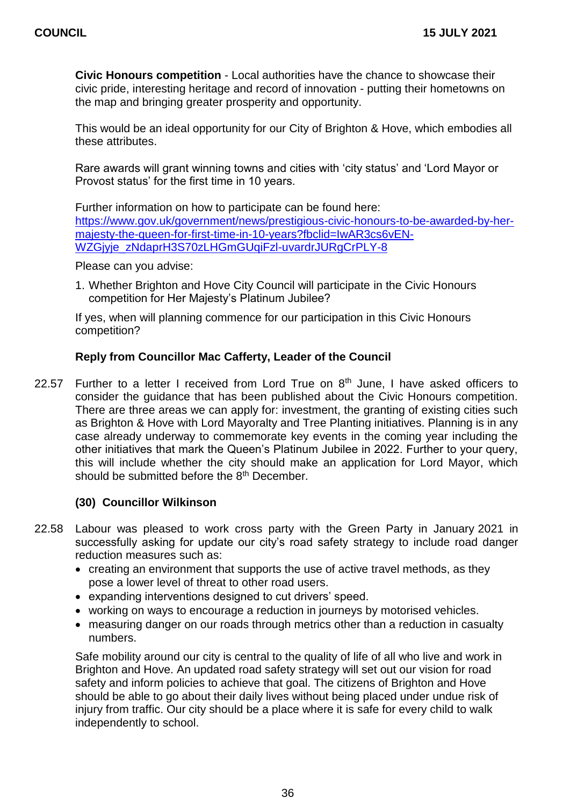**Civic Honours competition** - Local authorities have the chance to showcase their civic pride, interesting heritage and record of innovation - putting their hometowns on the map and bringing greater prosperity and opportunity.

This would be an ideal opportunity for our City of Brighton & Hove, which embodies all these attributes.

Rare awards will grant winning towns and cities with 'city status' and 'Lord Mayor or Provost status' for the first time in 10 years.

Further information on how to participate can be found here: [https://www.gov.uk/government/news/prestigious-civic-honours-to-be-awarded-by-her](https://www.gov.uk/government/news/prestigious-civic-honours-to-be-awarded-by-her-majesty-the-queen-for-first-time-in-10-years?fbclid=IwAR3cs6vEN-WZGjyje_zNdaprH3S70zLHGmGUqiFzl-uvardrJURgCrPLY-8)[majesty-the-queen-for-first-time-in-10-years?fbclid=IwAR3cs6vEN-](https://www.gov.uk/government/news/prestigious-civic-honours-to-be-awarded-by-her-majesty-the-queen-for-first-time-in-10-years?fbclid=IwAR3cs6vEN-WZGjyje_zNdaprH3S70zLHGmGUqiFzl-uvardrJURgCrPLY-8)[WZGjyje\\_zNdaprH3S70zLHGmGUqiFzl-uvardrJURgCrPLY-8](https://www.gov.uk/government/news/prestigious-civic-honours-to-be-awarded-by-her-majesty-the-queen-for-first-time-in-10-years?fbclid=IwAR3cs6vEN-WZGjyje_zNdaprH3S70zLHGmGUqiFzl-uvardrJURgCrPLY-8)

Please can you advise:

1. Whether Brighton and Hove City Council will participate in the Civic Honours competition for Her Majesty's Platinum Jubilee?

If yes, when will planning commence for our participation in this Civic Honours competition?

#### **Reply from Councillor Mac Cafferty, Leader of the Council**

22.57 Further to a letter I received from Lord True on  $8<sup>th</sup>$  June, I have asked officers to consider the guidance that has been published about the Civic Honours competition. There are three areas we can apply for: investment, the granting of existing cities such as Brighton & Hove with Lord Mayoralty and Tree Planting initiatives. Planning is in any case already underway to commemorate key events in the coming year including the other initiatives that mark the Queen's Platinum Jubilee in 2022. Further to your query, this will include whether the city should make an application for Lord Mayor, which should be submitted before the 8<sup>th</sup> December.

#### **(30) Councillor Wilkinson**

- 22.58 Labour was pleased to work cross party with the Green Party in January 2021 in successfully asking for update our city's road safety strategy to include road danger reduction measures such as:
	- creating an environment that supports the use of active travel methods, as they pose a lower level of threat to other road users.
	- expanding interventions designed to cut drivers' speed.
	- working on ways to encourage a reduction in journeys by motorised vehicles.
	- measuring danger on our roads through metrics other than a reduction in casualty numbers.

Safe mobility around our city is central to the quality of life of all who live and work in Brighton and Hove. An updated road safety strategy will set out our vision for road safety and inform policies to achieve that goal. The citizens of Brighton and Hove should be able to go about their daily lives without being placed under undue risk of injury from traffic. Our city should be a place where it is safe for every child to walk independently to school.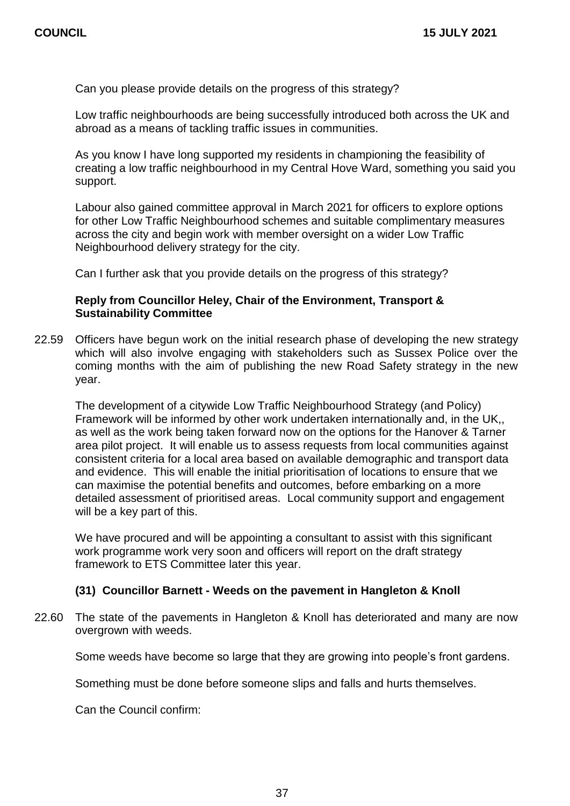Can you please provide details on the progress of this strategy?

Low traffic neighbourhoods are being successfully introduced both across the UK and abroad as a means of tackling traffic issues in communities.

As you know I have long supported my residents in championing the feasibility of creating a low traffic neighbourhood in my Central Hove Ward, something you said you support.

Labour also gained committee approval in March 2021 for officers to explore options for other Low Traffic Neighbourhood schemes and suitable complimentary measures across the city and begin work with member oversight on a wider Low Traffic Neighbourhood delivery strategy for the city.

Can I further ask that you provide details on the progress of this strategy?

#### **Reply from Councillor Heley, Chair of the Environment, Transport & Sustainability Committee**

22.59 Officers have begun work on the initial research phase of developing the new strategy which will also involve engaging with stakeholders such as Sussex Police over the coming months with the aim of publishing the new Road Safety strategy in the new year.

The development of a citywide Low Traffic Neighbourhood Strategy (and Policy) Framework will be informed by other work undertaken internationally and, in the UK,, as well as the work being taken forward now on the options for the Hanover & Tarner area pilot project. It will enable us to assess requests from local communities against consistent criteria for a local area based on available demographic and transport data and evidence. This will enable the initial prioritisation of locations to ensure that we can maximise the potential benefits and outcomes, before embarking on a more detailed assessment of prioritised areas. Local community support and engagement will be a key part of this.

We have procured and will be appointing a consultant to assist with this significant work programme work very soon and officers will report on the draft strategy framework to ETS Committee later this year.

#### **(31) Councillor Barnett - Weeds on the pavement in Hangleton & Knoll**

22.60 The state of the pavements in Hangleton & Knoll has deteriorated and many are now overgrown with weeds.

Some weeds have become so large that they are growing into people's front gardens.

Something must be done before someone slips and falls and hurts themselves.

Can the Council confirm: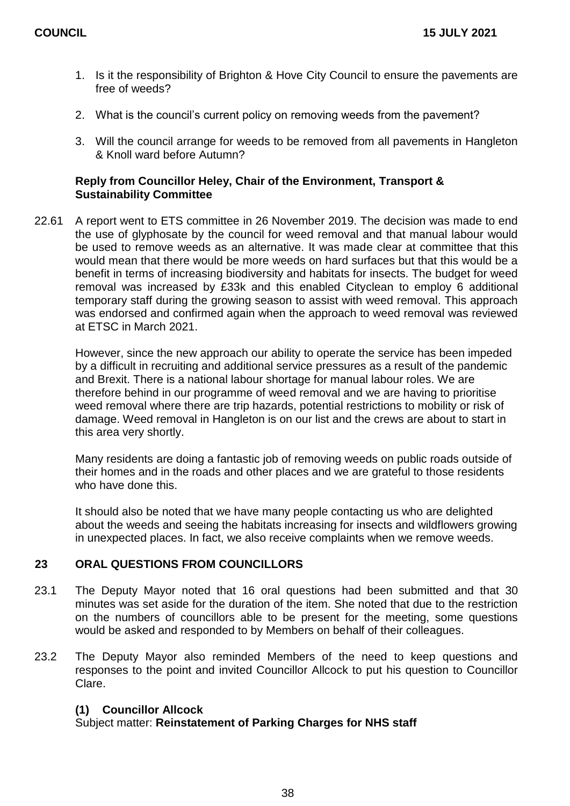- 1. Is it the responsibility of Brighton & Hove City Council to ensure the pavements are free of weeds?
- 2. What is the council's current policy on removing weeds from the pavement?
- 3. Will the council arrange for weeds to be removed from all pavements in Hangleton & Knoll ward before Autumn?

#### **Reply from Councillor Heley, Chair of the Environment, Transport & Sustainability Committee**

22.61 A report went to ETS committee in 26 November 2019. The decision was made to end the use of glyphosate by the council for weed removal and that manual labour would be used to remove weeds as an alternative. It was made clear at committee that this would mean that there would be more weeds on hard surfaces but that this would be a benefit in terms of increasing biodiversity and habitats for insects. The budget for weed removal was increased by £33k and this enabled Cityclean to employ 6 additional temporary staff during the growing season to assist with weed removal. This approach was endorsed and confirmed again when the approach to weed removal was reviewed at ETSC in March 2021.

However, since the new approach our ability to operate the service has been impeded by a difficult in recruiting and additional service pressures as a result of the pandemic and Brexit. There is a national labour shortage for manual labour roles. We are therefore behind in our programme of weed removal and we are having to prioritise weed removal where there are trip hazards, potential restrictions to mobility or risk of damage. Weed removal in Hangleton is on our list and the crews are about to start in this area very shortly.

Many residents are doing a fantastic job of removing weeds on public roads outside of their homes and in the roads and other places and we are grateful to those residents who have done this.

It should also be noted that we have many people contacting us who are delighted about the weeds and seeing the habitats increasing for insects and wildflowers growing in unexpected places. In fact, we also receive complaints when we remove weeds.

#### **23 ORAL QUESTIONS FROM COUNCILLORS**

- 23.1 The Deputy Mayor noted that 16 oral questions had been submitted and that 30 minutes was set aside for the duration of the item. She noted that due to the restriction on the numbers of councillors able to be present for the meeting, some questions would be asked and responded to by Members on behalf of their colleagues.
- 23.2 The Deputy Mayor also reminded Members of the need to keep questions and responses to the point and invited Councillor Allcock to put his question to Councillor Clare.

#### **(1) Councillor Allcock**

Subject matter: **Reinstatement of Parking Charges for NHS staff**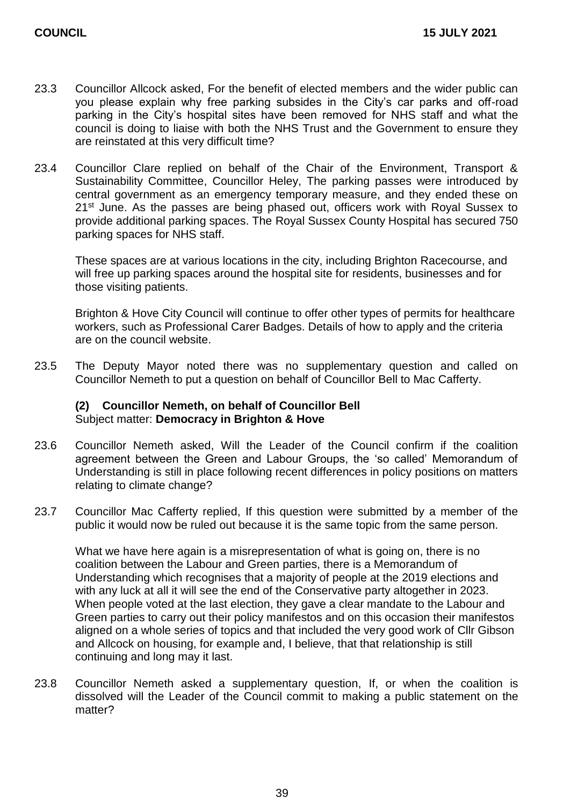- 23.3 Councillor Allcock asked, For the benefit of elected members and the wider public can you please explain why free parking subsides in the City's car parks and off-road parking in the City's hospital sites have been removed for NHS staff and what the council is doing to liaise with both the NHS Trust and the Government to ensure they are reinstated at this very difficult time?
- 23.4 Councillor Clare replied on behalf of the Chair of the Environment, Transport & Sustainability Committee, Councillor Heley, The parking passes were introduced by central government as an emergency temporary measure, and they ended these on 21<sup>st</sup> June. As the passes are being phased out, officers work with Royal Sussex to provide additional parking spaces. The Royal Sussex County Hospital has secured 750 parking spaces for NHS staff.

These spaces are at various locations in the city, including Brighton Racecourse, and will free up parking spaces around the hospital site for residents, businesses and for those visiting patients.

Brighton & Hove City Council will continue to offer other types of permits for healthcare workers, such as Professional Carer Badges. Details of how to apply and the criteria are on the council website.

23.5 The Deputy Mayor noted there was no supplementary question and called on Councillor Nemeth to put a question on behalf of Councillor Bell to Mac Cafferty.

#### **(2) Councillor Nemeth, on behalf of Councillor Bell** Subject matter: **Democracy in Brighton & Hove**

- 23.6 Councillor Nemeth asked, Will the Leader of the Council confirm if the coalition agreement between the Green and Labour Groups, the 'so called' Memorandum of Understanding is still in place following recent differences in policy positions on matters relating to climate change?
- 23.7 Councillor Mac Cafferty replied, If this question were submitted by a member of the public it would now be ruled out because it is the same topic from the same person.

What we have here again is a misrepresentation of what is going on, there is no coalition between the Labour and Green parties, there is a Memorandum of Understanding which recognises that a majority of people at the 2019 elections and with any luck at all it will see the end of the Conservative party altogether in 2023. When people voted at the last election, they gave a clear mandate to the Labour and Green parties to carry out their policy manifestos and on this occasion their manifestos aligned on a whole series of topics and that included the very good work of Cllr Gibson and Allcock on housing, for example and, I believe, that that relationship is still continuing and long may it last.

23.8 Councillor Nemeth asked a supplementary question, If, or when the coalition is dissolved will the Leader of the Council commit to making a public statement on the matter?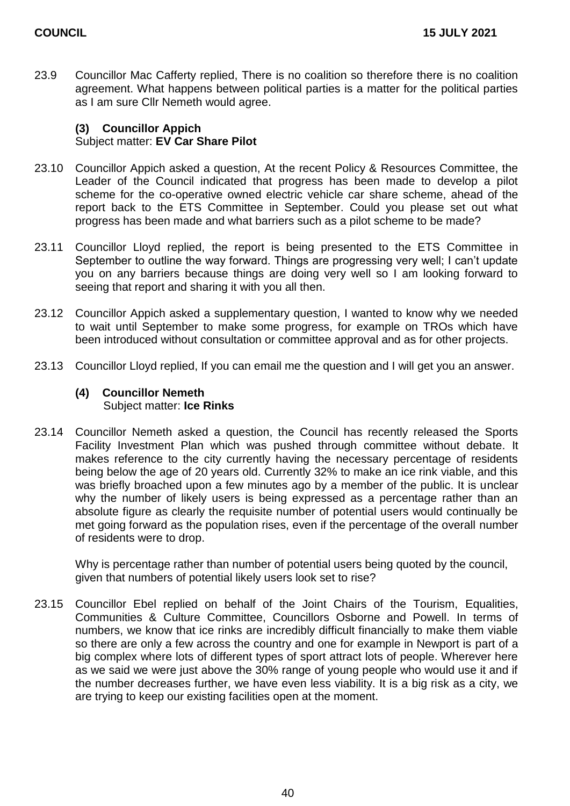23.9 Councillor Mac Cafferty replied, There is no coalition so therefore there is no coalition agreement. What happens between political parties is a matter for the political parties as I am sure Cllr Nemeth would agree.

## **(3) Councillor Appich** Subject matter: **EV Car Share Pilot**

- 23.10 Councillor Appich asked a question, At the recent Policy & Resources Committee, the Leader of the Council indicated that progress has been made to develop a pilot scheme for the co-operative owned electric vehicle car share scheme, ahead of the report back to the ETS Committee in September. Could you please set out what progress has been made and what barriers such as a pilot scheme to be made?
- 23.11 Councillor Lloyd replied, the report is being presented to the ETS Committee in September to outline the way forward. Things are progressing very well; I can't update you on any barriers because things are doing very well so I am looking forward to seeing that report and sharing it with you all then.
- 23.12 Councillor Appich asked a supplementary question, I wanted to know why we needed to wait until September to make some progress, for example on TROs which have been introduced without consultation or committee approval and as for other projects.
- 23.13 Councillor Lloyd replied, If you can email me the question and I will get you an answer.

#### **(4) Councillor Nemeth** Subject matter: **Ice Rinks**

23.14 Councillor Nemeth asked a question, the Council has recently released the Sports Facility Investment Plan which was pushed through committee without debate. It makes reference to the city currently having the necessary percentage of residents being below the age of 20 years old. Currently 32% to make an ice rink viable, and this was briefly broached upon a few minutes ago by a member of the public. It is unclear why the number of likely users is being expressed as a percentage rather than an absolute figure as clearly the requisite number of potential users would continually be met going forward as the population rises, even if the percentage of the overall number of residents were to drop.

Why is percentage rather than number of potential users being quoted by the council, given that numbers of potential likely users look set to rise?

23.15 Councillor Ebel replied on behalf of the Joint Chairs of the Tourism, Equalities, Communities & Culture Committee, Councillors Osborne and Powell. In terms of numbers, we know that ice rinks are incredibly difficult financially to make them viable so there are only a few across the country and one for example in Newport is part of a big complex where lots of different types of sport attract lots of people. Wherever here as we said we were just above the 30% range of young people who would use it and if the number decreases further, we have even less viability. It is a big risk as a city, we are trying to keep our existing facilities open at the moment.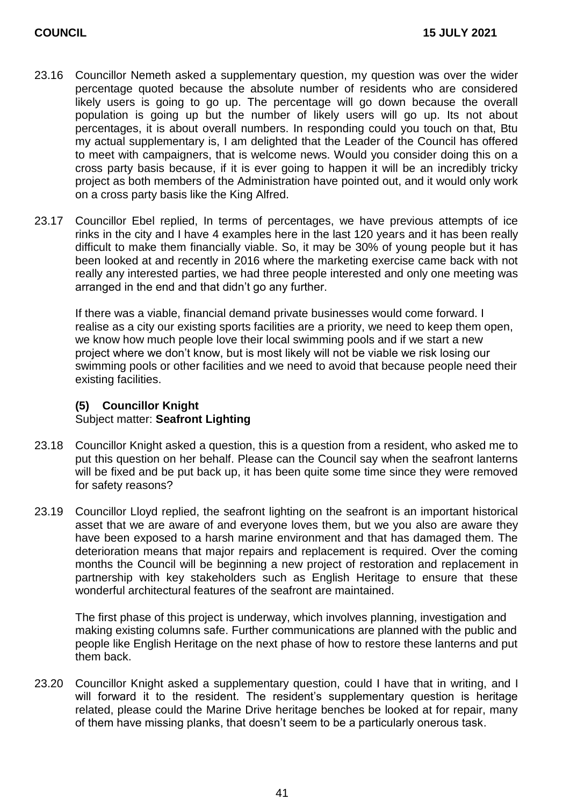- 23.16 Councillor Nemeth asked a supplementary question, my question was over the wider percentage quoted because the absolute number of residents who are considered likely users is going to go up. The percentage will go down because the overall population is going up but the number of likely users will go up. Its not about percentages, it is about overall numbers. In responding could you touch on that, Btu my actual supplementary is, I am delighted that the Leader of the Council has offered to meet with campaigners, that is welcome news. Would you consider doing this on a cross party basis because, if it is ever going to happen it will be an incredibly tricky project as both members of the Administration have pointed out, and it would only work on a cross party basis like the King Alfred.
- 23.17 Councillor Ebel replied, In terms of percentages, we have previous attempts of ice rinks in the city and I have 4 examples here in the last 120 years and it has been really difficult to make them financially viable. So, it may be 30% of young people but it has been looked at and recently in 2016 where the marketing exercise came back with not really any interested parties, we had three people interested and only one meeting was arranged in the end and that didn't go any further.

If there was a viable, financial demand private businesses would come forward. I realise as a city our existing sports facilities are a priority, we need to keep them open, we know how much people love their local swimming pools and if we start a new project where we don't know, but is most likely will not be viable we risk losing our swimming pools or other facilities and we need to avoid that because people need their existing facilities.

## **(5) Councillor Knight** Subject matter: **Seafront Lighting**

- 23.18 Councillor Knight asked a question, this is a question from a resident, who asked me to put this question on her behalf. Please can the Council say when the seafront lanterns will be fixed and be put back up, it has been quite some time since they were removed for safety reasons?
- 23.19 Councillor Lloyd replied, the seafront lighting on the seafront is an important historical asset that we are aware of and everyone loves them, but we you also are aware they have been exposed to a harsh marine environment and that has damaged them. The deterioration means that major repairs and replacement is required. Over the coming months the Council will be beginning a new project of restoration and replacement in partnership with key stakeholders such as English Heritage to ensure that these wonderful architectural features of the seafront are maintained.

The first phase of this project is underway, which involves planning, investigation and making existing columns safe. Further communications are planned with the public and people like English Heritage on the next phase of how to restore these lanterns and put them back.

23.20 Councillor Knight asked a supplementary question, could I have that in writing, and I will forward it to the resident. The resident's supplementary question is heritage related, please could the Marine Drive heritage benches be looked at for repair, many of them have missing planks, that doesn't seem to be a particularly onerous task.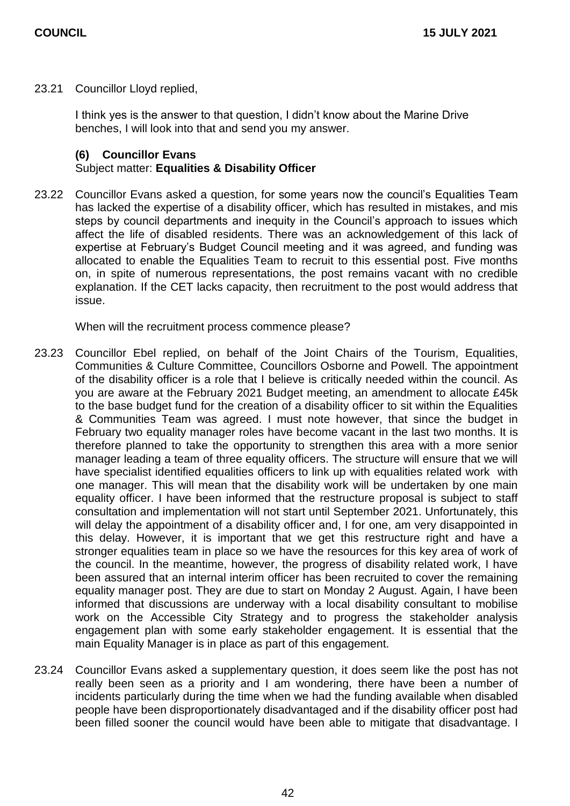23.21 Councillor Lloyd replied,

I think yes is the answer to that question, I didn't know about the Marine Drive benches, I will look into that and send you my answer.

#### **(6) Councillor Evans**

#### Subject matter: **Equalities & Disability Officer**

23.22 Councillor Evans asked a question, for some years now the council's Equalities Team has lacked the expertise of a disability officer, which has resulted in mistakes, and mis steps by council departments and inequity in the Council's approach to issues which affect the life of disabled residents. There was an acknowledgement of this lack of expertise at February's Budget Council meeting and it was agreed, and funding was allocated to enable the Equalities Team to recruit to this essential post. Five months on, in spite of numerous representations, the post remains vacant with no credible explanation. If the CET lacks capacity, then recruitment to the post would address that issue.

When will the recruitment process commence please?

- 23.23 Councillor Ebel replied, on behalf of the Joint Chairs of the Tourism, Equalities, Communities & Culture Committee, Councillors Osborne and Powell. The appointment of the disability officer is a role that I believe is critically needed within the council. As you are aware at the February 2021 Budget meeting, an amendment to allocate £45k to the base budget fund for the creation of a disability officer to sit within the Equalities & Communities Team was agreed. I must note however, that since the budget in February two equality manager roles have become vacant in the last two months. It is therefore planned to take the opportunity to strengthen this area with a more senior manager leading a team of three equality officers. The structure will ensure that we will have specialist identified equalities officers to link up with equalities related work with one manager. This will mean that the disability work will be undertaken by one main equality officer. I have been informed that the restructure proposal is subject to staff consultation and implementation will not start until September 2021. Unfortunately, this will delay the appointment of a disability officer and, I for one, am very disappointed in this delay. However, it is important that we get this restructure right and have a stronger equalities team in place so we have the resources for this key area of work of the council. In the meantime, however, the progress of disability related work, I have been assured that an internal interim officer has been recruited to cover the remaining equality manager post. They are due to start on Monday 2 August. Again, I have been informed that discussions are underway with a local disability consultant to mobilise work on the Accessible City Strategy and to progress the stakeholder analysis engagement plan with some early stakeholder engagement. It is essential that the main Equality Manager is in place as part of this engagement.
- 23.24 Councillor Evans asked a supplementary question, it does seem like the post has not really been seen as a priority and I am wondering, there have been a number of incidents particularly during the time when we had the funding available when disabled people have been disproportionately disadvantaged and if the disability officer post had been filled sooner the council would have been able to mitigate that disadvantage. I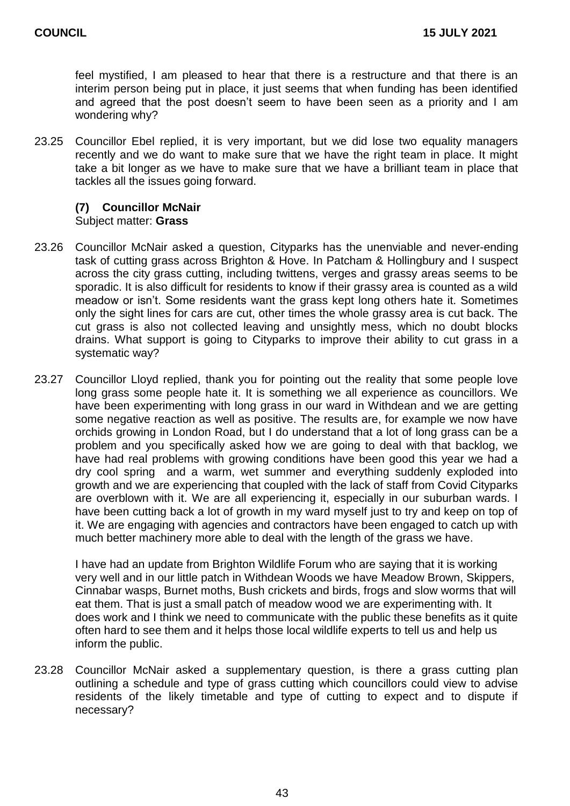feel mystified, I am pleased to hear that there is a restructure and that there is an interim person being put in place, it just seems that when funding has been identified and agreed that the post doesn't seem to have been seen as a priority and I am wondering why?

23.25 Councillor Ebel replied, it is very important, but we did lose two equality managers recently and we do want to make sure that we have the right team in place. It might take a bit longer as we have to make sure that we have a brilliant team in place that tackles all the issues going forward.

## **(7) Councillor McNair**

#### Subject matter: **Grass**

- 23.26 Councillor McNair asked a question, Cityparks has the unenviable and never-ending task of cutting grass across Brighton & Hove. In Patcham & Hollingbury and I suspect across the city grass cutting, including twittens, verges and grassy areas seems to be sporadic. It is also difficult for residents to know if their grassy area is counted as a wild meadow or isn't. Some residents want the grass kept long others hate it. Sometimes only the sight lines for cars are cut, other times the whole grassy area is cut back. The cut grass is also not collected leaving and unsightly mess, which no doubt blocks drains. What support is going to Cityparks to improve their ability to cut grass in a systematic way?
- 23.27 Councillor Lloyd replied, thank you for pointing out the reality that some people love long grass some people hate it. It is something we all experience as councillors. We have been experimenting with long grass in our ward in Withdean and we are getting some negative reaction as well as positive. The results are, for example we now have orchids growing in London Road, but I do understand that a lot of long grass can be a problem and you specifically asked how we are going to deal with that backlog, we have had real problems with growing conditions have been good this year we had a dry cool spring and a warm, wet summer and everything suddenly exploded into growth and we are experiencing that coupled with the lack of staff from Covid Cityparks are overblown with it. We are all experiencing it, especially in our suburban wards. I have been cutting back a lot of growth in my ward myself just to try and keep on top of it. We are engaging with agencies and contractors have been engaged to catch up with much better machinery more able to deal with the length of the grass we have.

I have had an update from Brighton Wildlife Forum who are saying that it is working very well and in our little patch in Withdean Woods we have Meadow Brown, Skippers, Cinnabar wasps, Burnet moths, Bush crickets and birds, frogs and slow worms that will eat them. That is just a small patch of meadow wood we are experimenting with. It does work and I think we need to communicate with the public these benefits as it quite often hard to see them and it helps those local wildlife experts to tell us and help us inform the public.

23.28 Councillor McNair asked a supplementary question, is there a grass cutting plan outlining a schedule and type of grass cutting which councillors could view to advise residents of the likely timetable and type of cutting to expect and to dispute if necessary?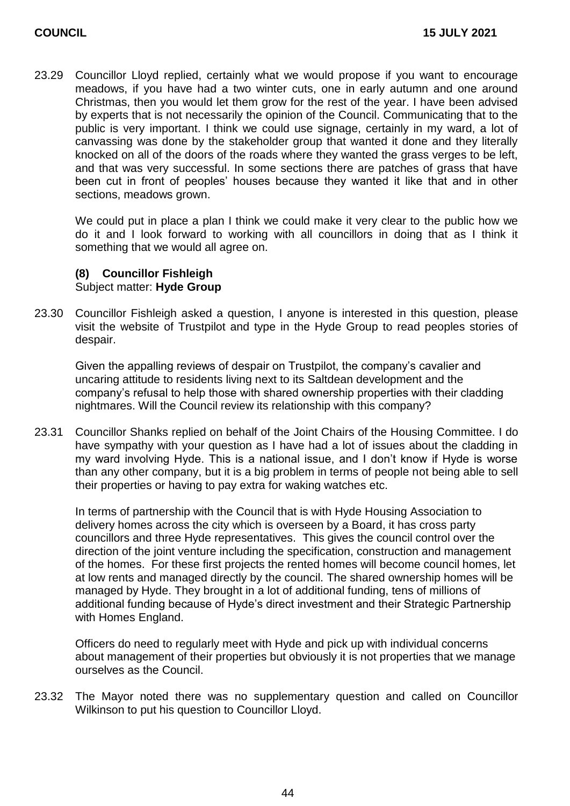23.29 Councillor Lloyd replied, certainly what we would propose if you want to encourage meadows, if you have had a two winter cuts, one in early autumn and one around Christmas, then you would let them grow for the rest of the year. I have been advised by experts that is not necessarily the opinion of the Council. Communicating that to the public is very important. I think we could use signage, certainly in my ward, a lot of canvassing was done by the stakeholder group that wanted it done and they literally knocked on all of the doors of the roads where they wanted the grass verges to be left, and that was very successful. In some sections there are patches of grass that have been cut in front of peoples' houses because they wanted it like that and in other sections, meadows grown.

We could put in place a plan I think we could make it very clear to the public how we do it and I look forward to working with all councillors in doing that as I think it something that we would all agree on.

## **(8) Councillor Fishleigh** Subject matter: **Hyde Group**

23.30 Councillor Fishleigh asked a question, I anyone is interested in this question, please visit the website of Trustpilot and type in the Hyde Group to read peoples stories of despair.

Given the appalling reviews of despair on Trustpilot, the company's cavalier and uncaring attitude to residents living next to its Saltdean development and the company's refusal to help those with shared ownership properties with their cladding nightmares. Will the Council review its relationship with this company?

23.31 Councillor Shanks replied on behalf of the Joint Chairs of the Housing Committee. I do have sympathy with your question as I have had a lot of issues about the cladding in my ward involving Hyde. This is a national issue, and I don't know if Hyde is worse than any other company, but it is a big problem in terms of people not being able to sell their properties or having to pay extra for waking watches etc.

In terms of partnership with the Council that is with Hyde Housing Association to delivery homes across the city which is overseen by a Board, it has cross party councillors and three Hyde representatives. This gives the council control over the direction of the joint venture including the specification, construction and management of the homes. For these first projects the rented homes will become council homes, let at low rents and managed directly by the council. The shared ownership homes will be managed by Hyde. They brought in a lot of additional funding, tens of millions of additional funding because of Hyde's direct investment and their Strategic Partnership with Homes England.

Officers do need to regularly meet with Hyde and pick up with individual concerns about management of their properties but obviously it is not properties that we manage ourselves as the Council.

23.32 The Mayor noted there was no supplementary question and called on Councillor Wilkinson to put his question to Councillor Lloyd.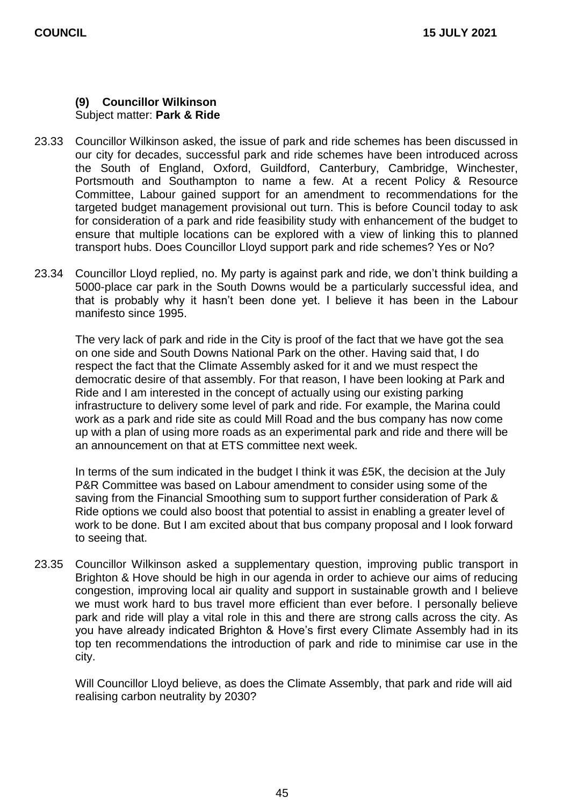#### **(9) Councillor Wilkinson** Subject matter: **Park & Ride**

- 23.33 Councillor Wilkinson asked, the issue of park and ride schemes has been discussed in our city for decades, successful park and ride schemes have been introduced across the South of England, Oxford, Guildford, Canterbury, Cambridge, Winchester, Portsmouth and Southampton to name a few. At a recent Policy & Resource Committee, Labour gained support for an amendment to recommendations for the targeted budget management provisional out turn. This is before Council today to ask for consideration of a park and ride feasibility study with enhancement of the budget to ensure that multiple locations can be explored with a view of linking this to planned transport hubs. Does Councillor Lloyd support park and ride schemes? Yes or No?
- 23.34 Councillor Lloyd replied, no. My party is against park and ride, we don't think building a 5000-place car park in the South Downs would be a particularly successful idea, and that is probably why it hasn't been done yet. I believe it has been in the Labour manifesto since 1995.

The very lack of park and ride in the City is proof of the fact that we have got the sea on one side and South Downs National Park on the other. Having said that, I do respect the fact that the Climate Assembly asked for it and we must respect the democratic desire of that assembly. For that reason, I have been looking at Park and Ride and I am interested in the concept of actually using our existing parking infrastructure to delivery some level of park and ride. For example, the Marina could work as a park and ride site as could Mill Road and the bus company has now come up with a plan of using more roads as an experimental park and ride and there will be an announcement on that at ETS committee next week.

In terms of the sum indicated in the budget I think it was £5K, the decision at the July P&R Committee was based on Labour amendment to consider using some of the saving from the Financial Smoothing sum to support further consideration of Park & Ride options we could also boost that potential to assist in enabling a greater level of work to be done. But I am excited about that bus company proposal and I look forward to seeing that.

23.35 Councillor Wilkinson asked a supplementary question, improving public transport in Brighton & Hove should be high in our agenda in order to achieve our aims of reducing congestion, improving local air quality and support in sustainable growth and I believe we must work hard to bus travel more efficient than ever before. I personally believe park and ride will play a vital role in this and there are strong calls across the city. As you have already indicated Brighton & Hove's first every Climate Assembly had in its top ten recommendations the introduction of park and ride to minimise car use in the city.

Will Councillor Lloyd believe, as does the Climate Assembly, that park and ride will aid realising carbon neutrality by 2030?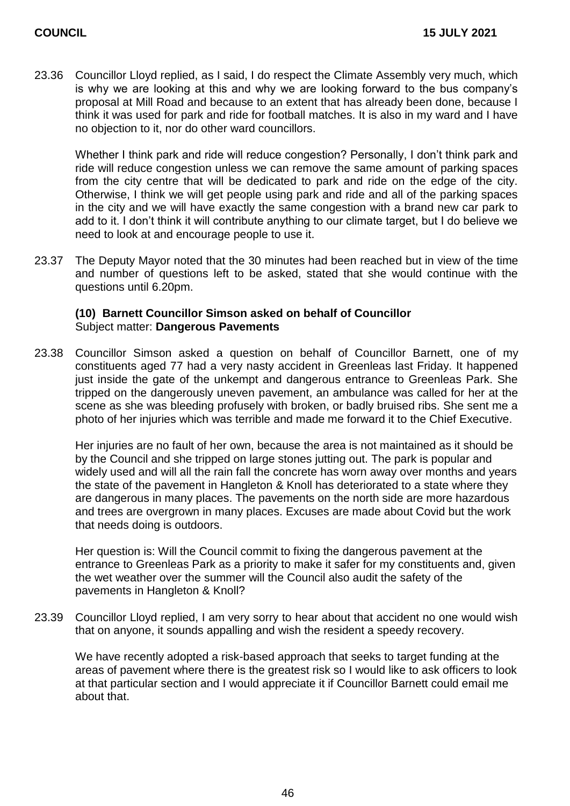23.36 Councillor Lloyd replied, as I said, I do respect the Climate Assembly very much, which is why we are looking at this and why we are looking forward to the bus company's proposal at Mill Road and because to an extent that has already been done, because I think it was used for park and ride for football matches. It is also in my ward and I have no objection to it, nor do other ward councillors.

Whether I think park and ride will reduce congestion? Personally, I don't think park and ride will reduce congestion unless we can remove the same amount of parking spaces from the city centre that will be dedicated to park and ride on the edge of the city. Otherwise, I think we will get people using park and ride and all of the parking spaces in the city and we will have exactly the same congestion with a brand new car park to add to it. I don't think it will contribute anything to our climate target, but I do believe we need to look at and encourage people to use it.

23.37 The Deputy Mayor noted that the 30 minutes had been reached but in view of the time and number of questions left to be asked, stated that she would continue with the questions until 6.20pm.

#### **(10) Barnett Councillor Simson asked on behalf of Councillor**  Subject matter: **Dangerous Pavements**

23.38 Councillor Simson asked a question on behalf of Councillor Barnett, one of my constituents aged 77 had a very nasty accident in Greenleas last Friday. It happened just inside the gate of the unkempt and dangerous entrance to Greenleas Park. She tripped on the dangerously uneven pavement, an ambulance was called for her at the scene as she was bleeding profusely with broken, or badly bruised ribs. She sent me a photo of her injuries which was terrible and made me forward it to the Chief Executive.

Her injuries are no fault of her own, because the area is not maintained as it should be by the Council and she tripped on large stones jutting out. The park is popular and widely used and will all the rain fall the concrete has worn away over months and years the state of the pavement in Hangleton & Knoll has deteriorated to a state where they are dangerous in many places. The pavements on the north side are more hazardous and trees are overgrown in many places. Excuses are made about Covid but the work that needs doing is outdoors.

Her question is: Will the Council commit to fixing the dangerous pavement at the entrance to Greenleas Park as a priority to make it safer for my constituents and, given the wet weather over the summer will the Council also audit the safety of the pavements in Hangleton & Knoll?

23.39 Councillor Lloyd replied, I am very sorry to hear about that accident no one would wish that on anyone, it sounds appalling and wish the resident a speedy recovery.

We have recently adopted a risk-based approach that seeks to target funding at the areas of pavement where there is the greatest risk so I would like to ask officers to look at that particular section and I would appreciate it if Councillor Barnett could email me about that.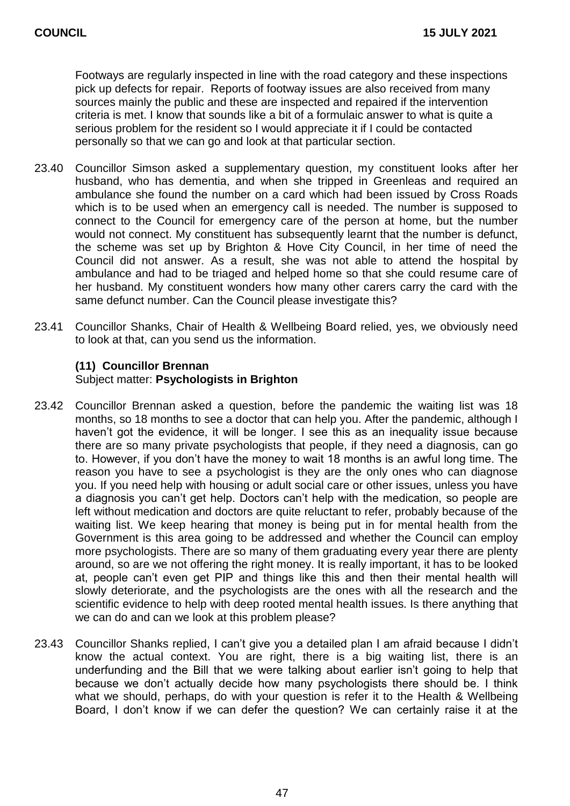Footways are regularly inspected in line with the road category and these inspections pick up defects for repair. Reports of footway issues are also received from many sources mainly the public and these are inspected and repaired if the intervention criteria is met. I know that sounds like a bit of a formulaic answer to what is quite a serious problem for the resident so I would appreciate it if I could be contacted personally so that we can go and look at that particular section.

- 23.40 Councillor Simson asked a supplementary question, my constituent looks after her husband, who has dementia, and when she tripped in Greenleas and required an ambulance she found the number on a card which had been issued by Cross Roads which is to be used when an emergency call is needed. The number is supposed to connect to the Council for emergency care of the person at home, but the number would not connect. My constituent has subsequently learnt that the number is defunct, the scheme was set up by Brighton & Hove City Council, in her time of need the Council did not answer. As a result, she was not able to attend the hospital by ambulance and had to be triaged and helped home so that she could resume care of her husband. My constituent wonders how many other carers carry the card with the same defunct number. Can the Council please investigate this?
- 23.41 Councillor Shanks, Chair of Health & Wellbeing Board relied, yes, we obviously need to look at that, can you send us the information.

#### **(11) Councillor Brennan**

#### Subject matter: **Psychologists in Brighton**

- 23.42 Councillor Brennan asked a question, before the pandemic the waiting list was 18 months, so 18 months to see a doctor that can help you. After the pandemic, although I haven't got the evidence, it will be longer. I see this as an inequality issue because there are so many private psychologists that people, if they need a diagnosis, can go to. However, if you don't have the money to wait 18 months is an awful long time. The reason you have to see a psychologist is they are the only ones who can diagnose you. If you need help with housing or adult social care or other issues, unless you have a diagnosis you can't get help. Doctors can't help with the medication, so people are left without medication and doctors are quite reluctant to refer, probably because of the waiting list. We keep hearing that money is being put in for mental health from the Government is this area going to be addressed and whether the Council can employ more psychologists. There are so many of them graduating every year there are plenty around, so are we not offering the right money. It is really important, it has to be looked at, people can't even get PIP and things like this and then their mental health will slowly deteriorate, and the psychologists are the ones with all the research and the scientific evidence to help with deep rooted mental health issues. Is there anything that we can do and can we look at this problem please?
- 23.43 Councillor Shanks replied, I can't give you a detailed plan I am afraid because I didn't know the actual context. You are right, there is a big waiting list, there is an underfunding and the Bill that we were talking about earlier isn't going to help that because we don't actually decide how many psychologists there should be. I think what we should, perhaps, do with your question is refer it to the Health & Wellbeing Board, I don't know if we can defer the question? We can certainly raise it at the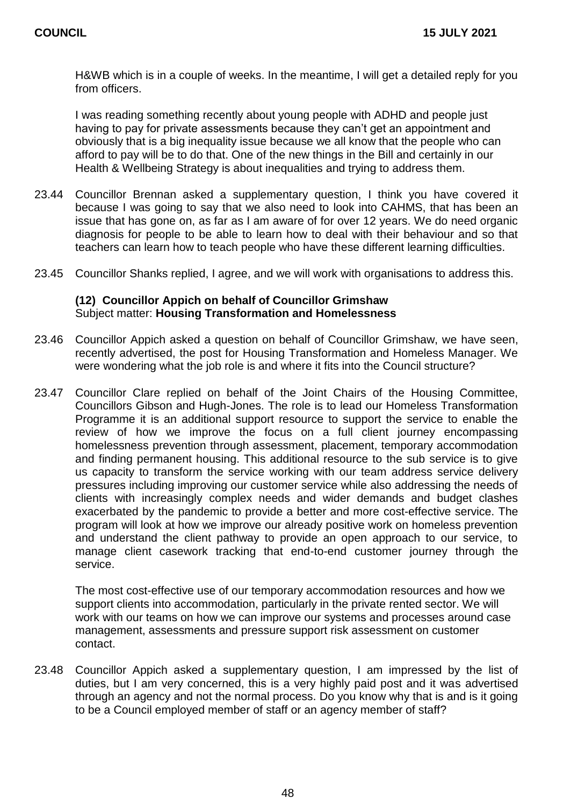H&WB which is in a couple of weeks. In the meantime, I will get a detailed reply for you from officers.

I was reading something recently about young people with ADHD and people just having to pay for private assessments because they can't get an appointment and obviously that is a big inequality issue because we all know that the people who can afford to pay will be to do that. One of the new things in the Bill and certainly in our Health & Wellbeing Strategy is about inequalities and trying to address them.

- 23.44 Councillor Brennan asked a supplementary question, I think you have covered it because I was going to say that we also need to look into CAHMS, that has been an issue that has gone on, as far as I am aware of for over 12 years. We do need organic diagnosis for people to be able to learn how to deal with their behaviour and so that teachers can learn how to teach people who have these different learning difficulties.
- 23.45 Councillor Shanks replied, I agree, and we will work with organisations to address this.

#### **(12) Councillor Appich on behalf of Councillor Grimshaw** Subject matter: **Housing Transformation and Homelessness**

- 23.46 Councillor Appich asked a question on behalf of Councillor Grimshaw, we have seen, recently advertised, the post for Housing Transformation and Homeless Manager. We were wondering what the job role is and where it fits into the Council structure?
- 23.47 Councillor Clare replied on behalf of the Joint Chairs of the Housing Committee, Councillors Gibson and Hugh-Jones. The role is to lead our Homeless Transformation Programme it is an additional support resource to support the service to enable the review of how we improve the focus on a full client journey encompassing homelessness prevention through assessment, placement, temporary accommodation and finding permanent housing. This additional resource to the sub service is to give us capacity to transform the service working with our team address service delivery pressures including improving our customer service while also addressing the needs of clients with increasingly complex needs and wider demands and budget clashes exacerbated by the pandemic to provide a better and more cost-effective service. The program will look at how we improve our already positive work on homeless prevention and understand the client pathway to provide an open approach to our service, to manage client casework tracking that end-to-end customer journey through the service.

The most cost-effective use of our temporary accommodation resources and how we support clients into accommodation, particularly in the private rented sector. We will work with our teams on how we can improve our systems and processes around case management, assessments and pressure support risk assessment on customer contact.

23.48 Councillor Appich asked a supplementary question, I am impressed by the list of duties, but I am very concerned, this is a very highly paid post and it was advertised through an agency and not the normal process. Do you know why that is and is it going to be a Council employed member of staff or an agency member of staff?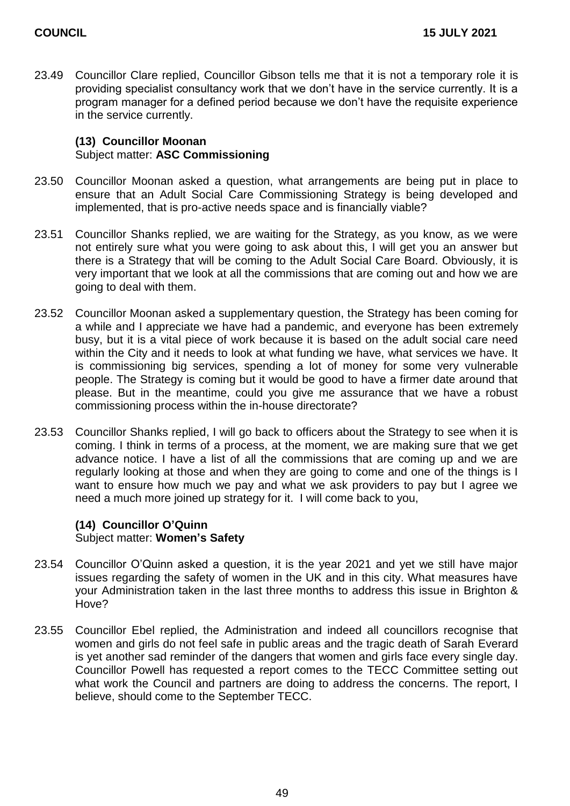23.49 Councillor Clare replied, Councillor Gibson tells me that it is not a temporary role it is providing specialist consultancy work that we don't have in the service currently. It is a program manager for a defined period because we don't have the requisite experience in the service currently.

### **(13) Councillor Moonan** Subject matter: **ASC Commissioning**

- 23.50 Councillor Moonan asked a question, what arrangements are being put in place to ensure that an Adult Social Care Commissioning Strategy is being developed and implemented, that is pro-active needs space and is financially viable?
- 23.51 Councillor Shanks replied, we are waiting for the Strategy, as you know, as we were not entirely sure what you were going to ask about this, I will get you an answer but there is a Strategy that will be coming to the Adult Social Care Board. Obviously, it is very important that we look at all the commissions that are coming out and how we are going to deal with them.
- 23.52 Councillor Moonan asked a supplementary question, the Strategy has been coming for a while and I appreciate we have had a pandemic, and everyone has been extremely busy, but it is a vital piece of work because it is based on the adult social care need within the City and it needs to look at what funding we have, what services we have. It is commissioning big services, spending a lot of money for some very vulnerable people. The Strategy is coming but it would be good to have a firmer date around that please. But in the meantime, could you give me assurance that we have a robust commissioning process within the in-house directorate?
- 23.53 Councillor Shanks replied, I will go back to officers about the Strategy to see when it is coming. I think in terms of a process, at the moment, we are making sure that we get advance notice. I have a list of all the commissions that are coming up and we are regularly looking at those and when they are going to come and one of the things is I want to ensure how much we pay and what we ask providers to pay but I agree we need a much more joined up strategy for it. I will come back to you,

## **(14) Councillor O'Quinn** Subject matter: **Women's Safety**

- 23.54 Councillor O'Quinn asked a question, it is the year 2021 and yet we still have major issues regarding the safety of women in the UK and in this city. What measures have your Administration taken in the last three months to address this issue in Brighton & Hove?
- 23.55 Councillor Ebel replied, the Administration and indeed all councillors recognise that women and girls do not feel safe in public areas and the tragic death of Sarah Everard is yet another sad reminder of the dangers that women and girls face every single day. Councillor Powell has requested a report comes to the TECC Committee setting out what work the Council and partners are doing to address the concerns. The report, I believe, should come to the September TECC.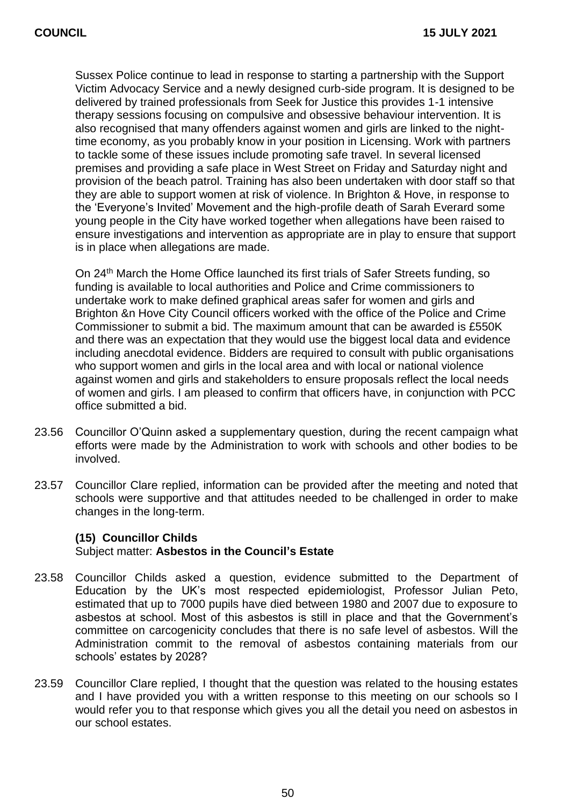Sussex Police continue to lead in response to starting a partnership with the Support Victim Advocacy Service and a newly designed curb-side program. It is designed to be delivered by trained professionals from Seek for Justice this provides 1-1 intensive therapy sessions focusing on compulsive and obsessive behaviour intervention. It is also recognised that many offenders against women and girls are linked to the nighttime economy, as you probably know in your position in Licensing. Work with partners to tackle some of these issues include promoting safe travel. In several licensed premises and providing a safe place in West Street on Friday and Saturday night and provision of the beach patrol. Training has also been undertaken with door staff so that they are able to support women at risk of violence. In Brighton & Hove, in response to the 'Everyone's Invited' Movement and the high-profile death of Sarah Everard some young people in the City have worked together when allegations have been raised to ensure investigations and intervention as appropriate are in play to ensure that support is in place when allegations are made.

On 24<sup>th</sup> March the Home Office launched its first trials of Safer Streets funding, so funding is available to local authorities and Police and Crime commissioners to undertake work to make defined graphical areas safer for women and girls and Brighton &n Hove City Council officers worked with the office of the Police and Crime Commissioner to submit a bid. The maximum amount that can be awarded is £550K and there was an expectation that they would use the biggest local data and evidence including anecdotal evidence. Bidders are required to consult with public organisations who support women and girls in the local area and with local or national violence against women and girls and stakeholders to ensure proposals reflect the local needs of women and girls. I am pleased to confirm that officers have, in conjunction with PCC office submitted a bid.

- 23.56 Councillor O'Quinn asked a supplementary question, during the recent campaign what efforts were made by the Administration to work with schools and other bodies to be involved.
- 23.57 Councillor Clare replied, information can be provided after the meeting and noted that schools were supportive and that attitudes needed to be challenged in order to make changes in the long-term.

#### **(15) Councillor Childs**

#### Subject matter: **Asbestos in the Council's Estate**

- 23.58 Councillor Childs asked a question, evidence submitted to the Department of Education by the UK's most respected epidemiologist, Professor Julian Peto, estimated that up to 7000 pupils have died between 1980 and 2007 due to exposure to asbestos at school. Most of this asbestos is still in place and that the Government's committee on carcogenicity concludes that there is no safe level of asbestos. Will the Administration commit to the removal of asbestos containing materials from our schools' estates by 2028?
- 23.59 Councillor Clare replied, I thought that the question was related to the housing estates and I have provided you with a written response to this meeting on our schools so I would refer you to that response which gives you all the detail you need on asbestos in our school estates.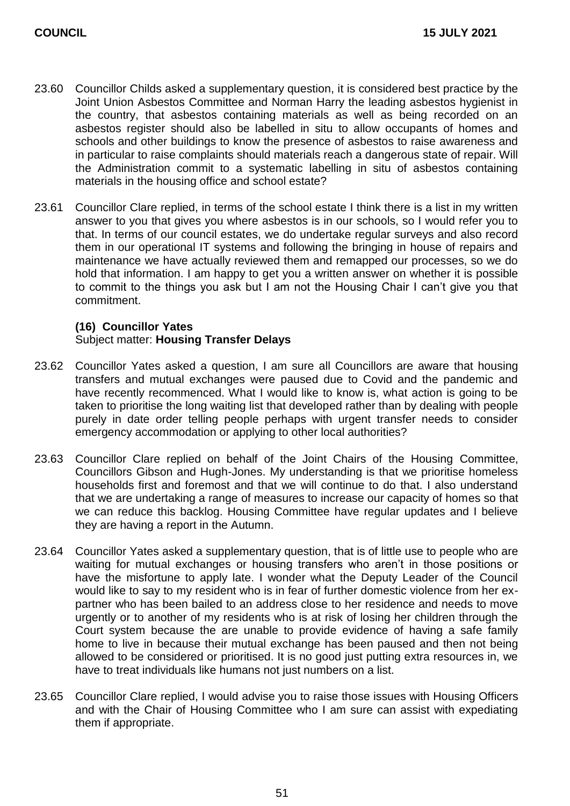- 23.60 Councillor Childs asked a supplementary question, it is considered best practice by the Joint Union Asbestos Committee and Norman Harry the leading asbestos hygienist in the country, that asbestos containing materials as well as being recorded on an asbestos register should also be labelled in situ to allow occupants of homes and schools and other buildings to know the presence of asbestos to raise awareness and in particular to raise complaints should materials reach a dangerous state of repair. Will the Administration commit to a systematic labelling in situ of asbestos containing materials in the housing office and school estate?
- 23.61 Councillor Clare replied, in terms of the school estate I think there is a list in my written answer to you that gives you where asbestos is in our schools, so I would refer you to that. In terms of our council estates, we do undertake regular surveys and also record them in our operational IT systems and following the bringing in house of repairs and maintenance we have actually reviewed them and remapped our processes, so we do hold that information. I am happy to get you a written answer on whether it is possible to commit to the things you ask but I am not the Housing Chair I can't give you that commitment.

#### **(16) Councillor Yates** Subject matter: **Housing Transfer Delays**

- 23.62 Councillor Yates asked a question, I am sure all Councillors are aware that housing transfers and mutual exchanges were paused due to Covid and the pandemic and have recently recommenced. What I would like to know is, what action is going to be taken to prioritise the long waiting list that developed rather than by dealing with people purely in date order telling people perhaps with urgent transfer needs to consider emergency accommodation or applying to other local authorities?
- 23.63 Councillor Clare replied on behalf of the Joint Chairs of the Housing Committee, Councillors Gibson and Hugh-Jones. My understanding is that we prioritise homeless households first and foremost and that we will continue to do that. I also understand that we are undertaking a range of measures to increase our capacity of homes so that we can reduce this backlog. Housing Committee have regular updates and I believe they are having a report in the Autumn.
- 23.64 Councillor Yates asked a supplementary question, that is of little use to people who are waiting for mutual exchanges or housing transfers who aren't in those positions or have the misfortune to apply late. I wonder what the Deputy Leader of the Council would like to say to my resident who is in fear of further domestic violence from her expartner who has been bailed to an address close to her residence and needs to move urgently or to another of my residents who is at risk of losing her children through the Court system because the are unable to provide evidence of having a safe family home to live in because their mutual exchange has been paused and then not being allowed to be considered or prioritised. It is no good just putting extra resources in, we have to treat individuals like humans not just numbers on a list.
- 23.65 Councillor Clare replied, I would advise you to raise those issues with Housing Officers and with the Chair of Housing Committee who I am sure can assist with expediating them if appropriate.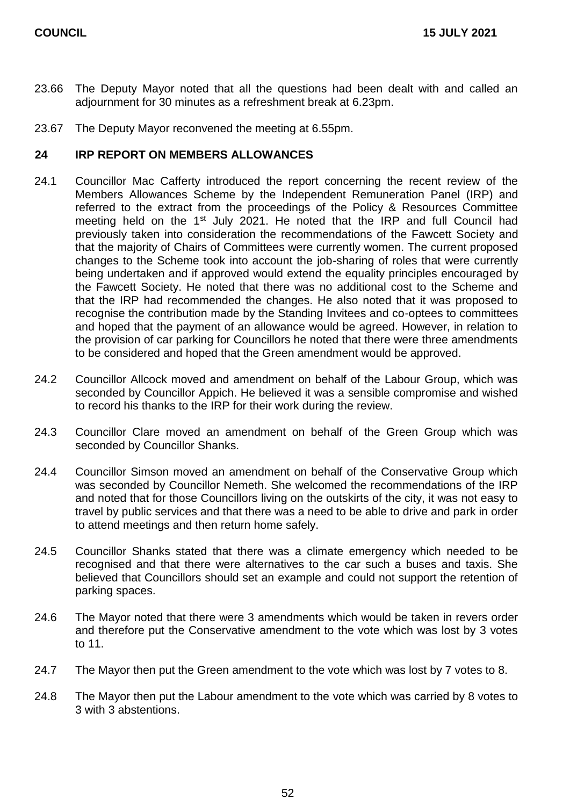- 23.66 The Deputy Mayor noted that all the questions had been dealt with and called an adjournment for 30 minutes as a refreshment break at 6.23pm.
- 23.67 The Deputy Mayor reconvened the meeting at 6.55pm.

#### **24 IRP REPORT ON MEMBERS ALLOWANCES**

- 24.1 Councillor Mac Cafferty introduced the report concerning the recent review of the Members Allowances Scheme by the Independent Remuneration Panel (IRP) and referred to the extract from the proceedings of the Policy & Resources Committee meeting held on the 1<sup>st</sup> July 2021. He noted that the IRP and full Council had previously taken into consideration the recommendations of the Fawcett Society and that the majority of Chairs of Committees were currently women. The current proposed changes to the Scheme took into account the job-sharing of roles that were currently being undertaken and if approved would extend the equality principles encouraged by the Fawcett Society. He noted that there was no additional cost to the Scheme and that the IRP had recommended the changes. He also noted that it was proposed to recognise the contribution made by the Standing Invitees and co-optees to committees and hoped that the payment of an allowance would be agreed. However, in relation to the provision of car parking for Councillors he noted that there were three amendments to be considered and hoped that the Green amendment would be approved.
- 24.2 Councillor Allcock moved and amendment on behalf of the Labour Group, which was seconded by Councillor Appich. He believed it was a sensible compromise and wished to record his thanks to the IRP for their work during the review.
- 24.3 Councillor Clare moved an amendment on behalf of the Green Group which was seconded by Councillor Shanks.
- 24.4 Councillor Simson moved an amendment on behalf of the Conservative Group which was seconded by Councillor Nemeth. She welcomed the recommendations of the IRP and noted that for those Councillors living on the outskirts of the city, it was not easy to travel by public services and that there was a need to be able to drive and park in order to attend meetings and then return home safely.
- 24.5 Councillor Shanks stated that there was a climate emergency which needed to be recognised and that there were alternatives to the car such a buses and taxis. She believed that Councillors should set an example and could not support the retention of parking spaces.
- 24.6 The Mayor noted that there were 3 amendments which would be taken in revers order and therefore put the Conservative amendment to the vote which was lost by 3 votes to 11.
- 24.7 The Mayor then put the Green amendment to the vote which was lost by 7 votes to 8.
- 24.8 The Mayor then put the Labour amendment to the vote which was carried by 8 votes to 3 with 3 abstentions.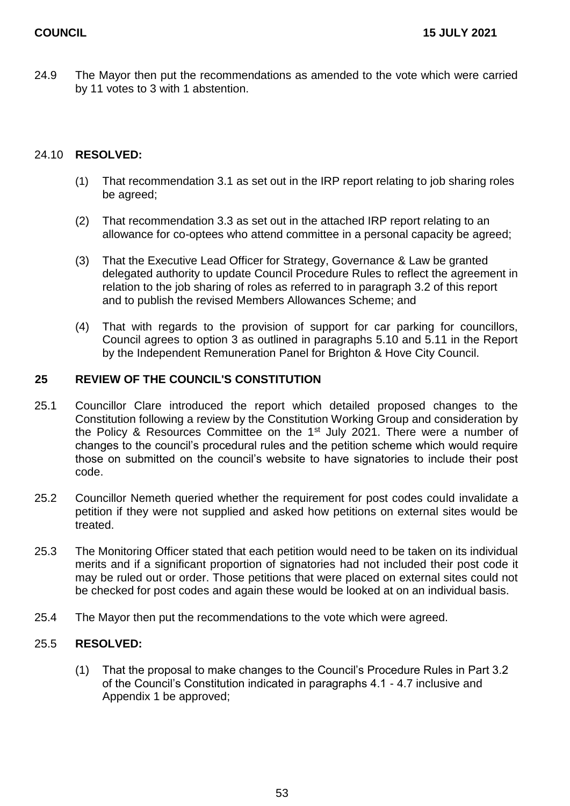24.9 The Mayor then put the recommendations as amended to the vote which were carried by 11 votes to 3 with 1 abstention.

#### 24.10 **RESOLVED:**

- (1) That recommendation 3.1 as set out in the IRP report relating to job sharing roles be agreed;
- (2) That recommendation 3.3 as set out in the attached IRP report relating to an allowance for co-optees who attend committee in a personal capacity be agreed;
- (3) That the Executive Lead Officer for Strategy, Governance & Law be granted delegated authority to update Council Procedure Rules to reflect the agreement in relation to the job sharing of roles as referred to in paragraph 3.2 of this report and to publish the revised Members Allowances Scheme; and
- (4) That with regards to the provision of support for car parking for councillors, Council agrees to option 3 as outlined in paragraphs 5.10 and 5.11 in the Report by the Independent Remuneration Panel for Brighton & Hove City Council.

#### **25 REVIEW OF THE COUNCIL'S CONSTITUTION**

- 25.1 Councillor Clare introduced the report which detailed proposed changes to the Constitution following a review by the Constitution Working Group and consideration by the Policy & Resources Committee on the 1<sup>st</sup> July 2021. There were a number of changes to the council's procedural rules and the petition scheme which would require those on submitted on the council's website to have signatories to include their post code.
- 25.2 Councillor Nemeth queried whether the requirement for post codes could invalidate a petition if they were not supplied and asked how petitions on external sites would be treated.
- 25.3 The Monitoring Officer stated that each petition would need to be taken on its individual merits and if a significant proportion of signatories had not included their post code it may be ruled out or order. Those petitions that were placed on external sites could not be checked for post codes and again these would be looked at on an individual basis.
- 25.4 The Mayor then put the recommendations to the vote which were agreed.

#### 25.5 **RESOLVED:**

(1) That the proposal to make changes to the Council's Procedure Rules in Part 3.2 of the Council's Constitution indicated in paragraphs 4.1 - 4.7 inclusive and Appendix 1 be approved;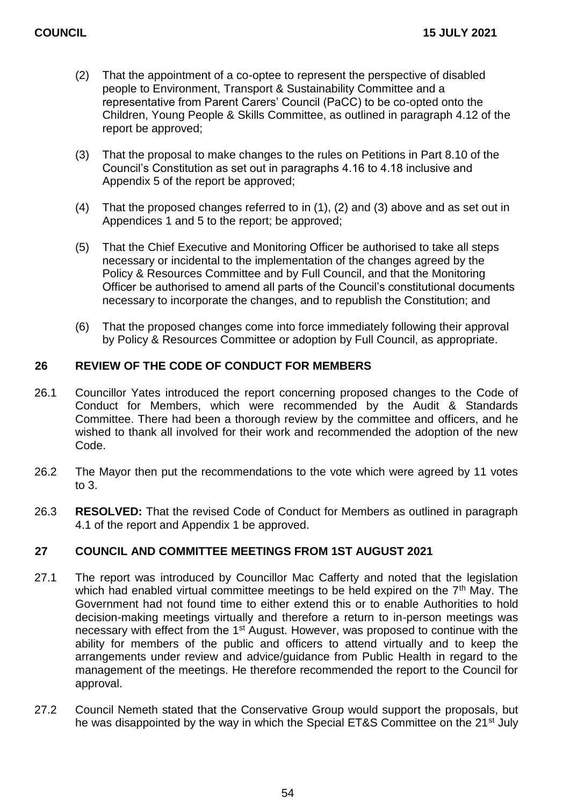- (2) That the appointment of a co-optee to represent the perspective of disabled people to Environment, Transport & Sustainability Committee and a representative from Parent Carers' Council (PaCC) to be co-opted onto the Children, Young People & Skills Committee, as outlined in paragraph 4.12 of the report be approved;
- (3) That the proposal to make changes to the rules on Petitions in Part 8.10 of the Council's Constitution as set out in paragraphs 4.16 to 4.18 inclusive and Appendix 5 of the report be approved;
- (4) That the proposed changes referred to in (1), (2) and (3) above and as set out in Appendices 1 and 5 to the report; be approved;
- (5) That the Chief Executive and Monitoring Officer be authorised to take all steps necessary or incidental to the implementation of the changes agreed by the Policy & Resources Committee and by Full Council, and that the Monitoring Officer be authorised to amend all parts of the Council's constitutional documents necessary to incorporate the changes, and to republish the Constitution; and
- (6) That the proposed changes come into force immediately following their approval by Policy & Resources Committee or adoption by Full Council, as appropriate.

## **26 REVIEW OF THE CODE OF CONDUCT FOR MEMBERS**

- 26.1 Councillor Yates introduced the report concerning proposed changes to the Code of Conduct for Members, which were recommended by the Audit & Standards Committee. There had been a thorough review by the committee and officers, and he wished to thank all involved for their work and recommended the adoption of the new Code.
- 26.2 The Mayor then put the recommendations to the vote which were agreed by 11 votes to 3.
- 26.3 **RESOLVED:** That the revised Code of Conduct for Members as outlined in paragraph 4.1 of the report and Appendix 1 be approved.

### **27 COUNCIL AND COMMITTEE MEETINGS FROM 1ST AUGUST 2021**

- 27.1 The report was introduced by Councillor Mac Cafferty and noted that the legislation which had enabled virtual committee meetings to be held expired on the  $7<sup>th</sup>$  May. The Government had not found time to either extend this or to enable Authorities to hold decision-making meetings virtually and therefore a return to in-person meetings was necessary with effect from the 1st August. However, was proposed to continue with the ability for members of the public and officers to attend virtually and to keep the arrangements under review and advice/guidance from Public Health in regard to the management of the meetings. He therefore recommended the report to the Council for approval.
- 27.2 Council Nemeth stated that the Conservative Group would support the proposals, but he was disappointed by the way in which the Special ET&S Committee on the 21<sup>st</sup> July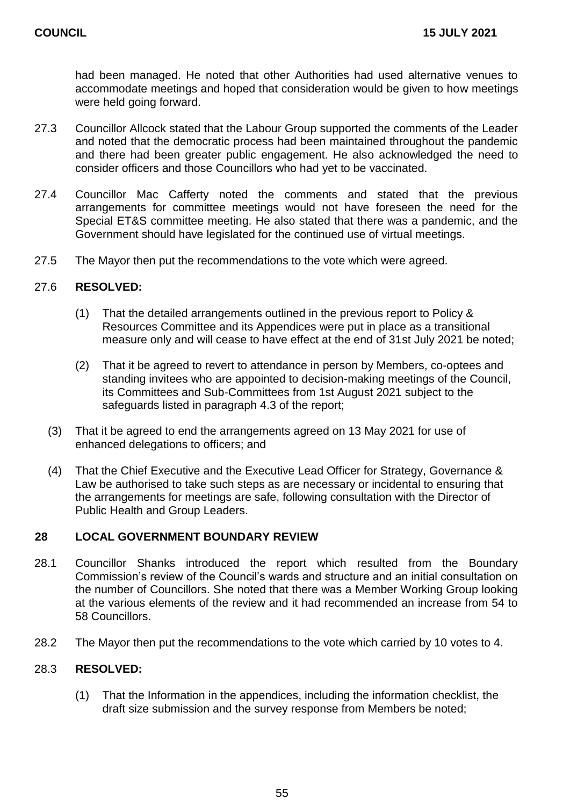had been managed. He noted that other Authorities had used alternative venues to accommodate meetings and hoped that consideration would be given to how meetings were held going forward.

- 27.3 Councillor Allcock stated that the Labour Group supported the comments of the Leader and noted that the democratic process had been maintained throughout the pandemic and there had been greater public engagement. He also acknowledged the need to consider officers and those Councillors who had yet to be vaccinated.
- 27.4 Councillor Mac Cafferty noted the comments and stated that the previous arrangements for committee meetings would not have foreseen the need for the Special ET&S committee meeting. He also stated that there was a pandemic, and the Government should have legislated for the continued use of virtual meetings.
- 27.5 The Mayor then put the recommendations to the vote which were agreed.

#### 27.6 **RESOLVED:**

- (1) That the detailed arrangements outlined in the previous report to Policy & Resources Committee and its Appendices were put in place as a transitional measure only and will cease to have effect at the end of 31st July 2021 be noted;
- (2) That it be agreed to revert to attendance in person by Members, co-optees and standing invitees who are appointed to decision-making meetings of the Council, its Committees and Sub-Committees from 1st August 2021 subject to the safeguards listed in paragraph 4.3 of the report;
- (3) That it be agreed to end the arrangements agreed on 13 May 2021 for use of enhanced delegations to officers; and
- (4) That the Chief Executive and the Executive Lead Officer for Strategy, Governance & Law be authorised to take such steps as are necessary or incidental to ensuring that the arrangements for meetings are safe, following consultation with the Director of Public Health and Group Leaders.

#### **28 LOCAL GOVERNMENT BOUNDARY REVIEW**

- 28.1 Councillor Shanks introduced the report which resulted from the Boundary Commission's review of the Council's wards and structure and an initial consultation on the number of Councillors. She noted that there was a Member Working Group looking at the various elements of the review and it had recommended an increase from 54 to 58 Councillors.
- 28.2 The Mayor then put the recommendations to the vote which carried by 10 votes to 4.

#### 28.3 **RESOLVED:**

(1) That the Information in the appendices, including the information checklist, the draft size submission and the survey response from Members be noted;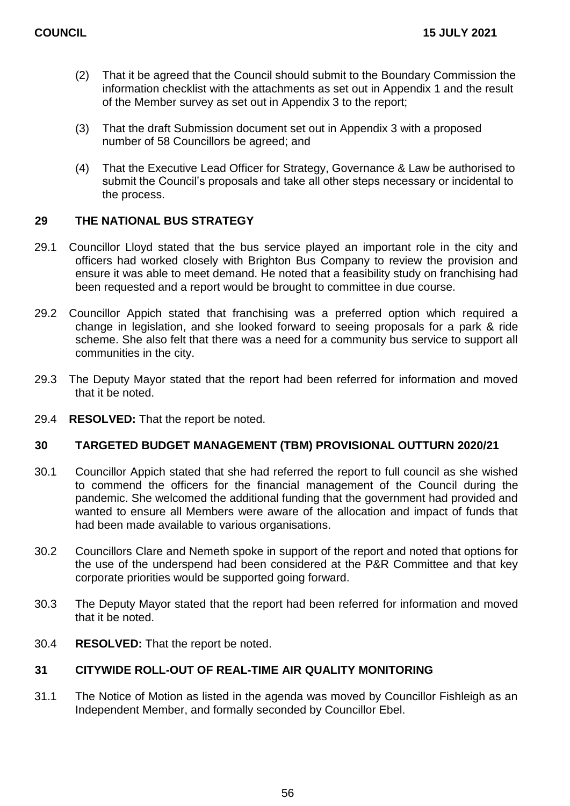- (2) That it be agreed that the Council should submit to the Boundary Commission the information checklist with the attachments as set out in Appendix 1 and the result of the Member survey as set out in Appendix 3 to the report;
- (3) That the draft Submission document set out in Appendix 3 with a proposed number of 58 Councillors be agreed; and
- (4) That the Executive Lead Officer for Strategy, Governance & Law be authorised to submit the Council's proposals and take all other steps necessary or incidental to the process.

## **29 THE NATIONAL BUS STRATEGY**

- 29.1 Councillor Lloyd stated that the bus service played an important role in the city and officers had worked closely with Brighton Bus Company to review the provision and ensure it was able to meet demand. He noted that a feasibility study on franchising had been requested and a report would be brought to committee in due course.
- 29.2 Councillor Appich stated that franchising was a preferred option which required a change in legislation, and she looked forward to seeing proposals for a park & ride scheme. She also felt that there was a need for a community bus service to support all communities in the city.
- 29.3 The Deputy Mayor stated that the report had been referred for information and moved that it be noted.
- 29.4 **RESOLVED:** That the report be noted.

#### **30 TARGETED BUDGET MANAGEMENT (TBM) PROVISIONAL OUTTURN 2020/21**

- 30.1 Councillor Appich stated that she had referred the report to full council as she wished to commend the officers for the financial management of the Council during the pandemic. She welcomed the additional funding that the government had provided and wanted to ensure all Members were aware of the allocation and impact of funds that had been made available to various organisations.
- 30.2 Councillors Clare and Nemeth spoke in support of the report and noted that options for the use of the underspend had been considered at the P&R Committee and that key corporate priorities would be supported going forward.
- 30.3 The Deputy Mayor stated that the report had been referred for information and moved that it be noted.
- 30.4 **RESOLVED:** That the report be noted.

#### **31 CITYWIDE ROLL-OUT OF REAL-TIME AIR QUALITY MONITORING**

31.1 The Notice of Motion as listed in the agenda was moved by Councillor Fishleigh as an Independent Member, and formally seconded by Councillor Ebel.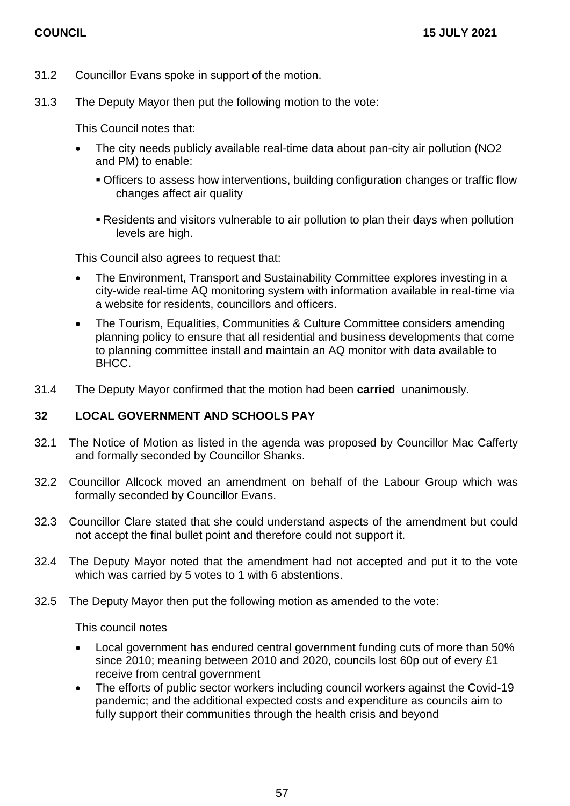- 31.2 Councillor Evans spoke in support of the motion.
- 31.3 The Deputy Mayor then put the following motion to the vote:

This Council notes that:

- The city needs publicly available real-time data about pan-city air pollution (NO2 and PM) to enable:
	- Officers to assess how interventions, building configuration changes or traffic flow changes affect air quality
	- Residents and visitors vulnerable to air pollution to plan their days when pollution levels are high.

This Council also agrees to request that:

- The Environment, Transport and Sustainability Committee explores investing in a city-wide real-time AQ monitoring system with information available in real-time via a website for residents, councillors and officers.
- The Tourism, Equalities, Communities & Culture Committee considers amending planning policy to ensure that all residential and business developments that come to planning committee install and maintain an AQ monitor with data available to BHCC.
- 31.4 The Deputy Mayor confirmed that the motion had been **carried** unanimously.

#### **32 LOCAL GOVERNMENT AND SCHOOLS PAY**

- 32.1 The Notice of Motion as listed in the agenda was proposed by Councillor Mac Cafferty and formally seconded by Councillor Shanks.
- 32.2 Councillor Allcock moved an amendment on behalf of the Labour Group which was formally seconded by Councillor Evans.
- 32.3 Councillor Clare stated that she could understand aspects of the amendment but could not accept the final bullet point and therefore could not support it.
- 32.4 The Deputy Mayor noted that the amendment had not accepted and put it to the vote which was carried by 5 votes to 1 with 6 abstentions.
- 32.5 The Deputy Mayor then put the following motion as amended to the vote:

This council notes

- Local government has endured central government funding cuts of more than 50% since 2010; meaning between 2010 and 2020, councils lost 60p out of every £1 receive from central government
- The efforts of public sector workers including council workers against the Covid-19 pandemic; and the additional expected costs and expenditure as councils aim to fully support their communities through the health crisis and beyond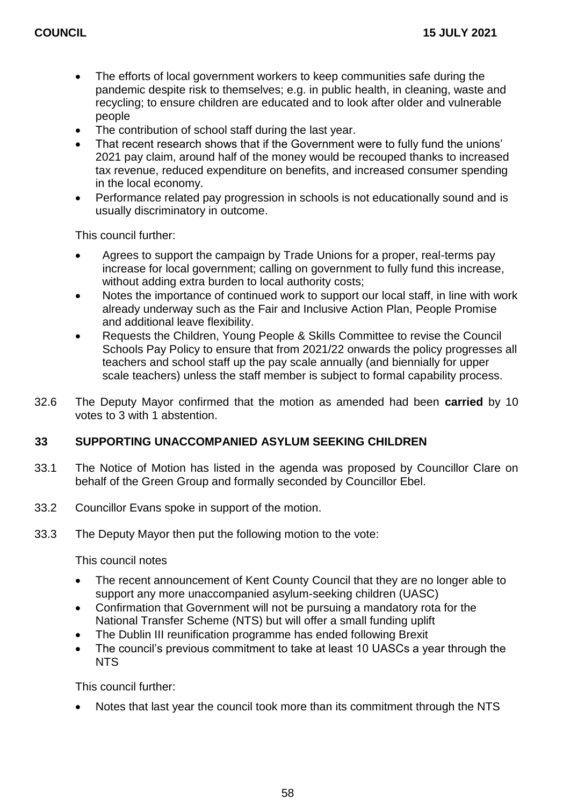- The efforts of local government workers to keep communities safe during the pandemic despite risk to themselves; e.g. in public health, in cleaning, waste and recycling; to ensure children are educated and to look after older and vulnerable people
- The contribution of school staff during the last year.
- That recent research shows that if the Government were to fully fund the unions' 2021 pay claim, around half of the money would be recouped thanks to increased tax revenue, reduced expenditure on benefits, and increased consumer spending in the local economy.
- Performance related pay progression in schools is not educationally sound and is usually discriminatory in outcome.

This council further:

- Agrees to support the campaign by Trade Unions for a proper, real-terms pay increase for local government; calling on government to fully fund this increase, without adding extra burden to local authority costs;
- Notes the importance of continued work to support our local staff, in line with work already underway such as the Fair and Inclusive Action Plan, People Promise and additional leave flexibility.
- Requests the Children, Young People & Skills Committee to revise the Council Schools Pay Policy to ensure that from 2021/22 onwards the policy progresses all teachers and school staff up the pay scale annually (and biennially for upper scale teachers) unless the staff member is subject to formal capability process.
- 32.6 The Deputy Mayor confirmed that the motion as amended had been **carried** by 10 votes to 3 with 1 abstention.

#### **33 SUPPORTING UNACCOMPANIED ASYLUM SEEKING CHILDREN**

- 33.1 The Notice of Motion has listed in the agenda was proposed by Councillor Clare on behalf of the Green Group and formally seconded by Councillor Ebel.
- 33.2 Councillor Evans spoke in support of the motion.
- 33.3 The Deputy Mayor then put the following motion to the vote:

This council notes

- The recent announcement of Kent County Council that they are no longer able to support any more unaccompanied asylum-seeking children (UASC)
- Confirmation that Government will not be pursuing a mandatory rota for the National Transfer Scheme (NTS) but will offer a small funding uplift
- The Dublin III reunification programme has ended following Brexit
- The council's previous commitment to take at least 10 UASCs a year through the NTS

This council further:

Notes that last year the council took more than its commitment through the NTS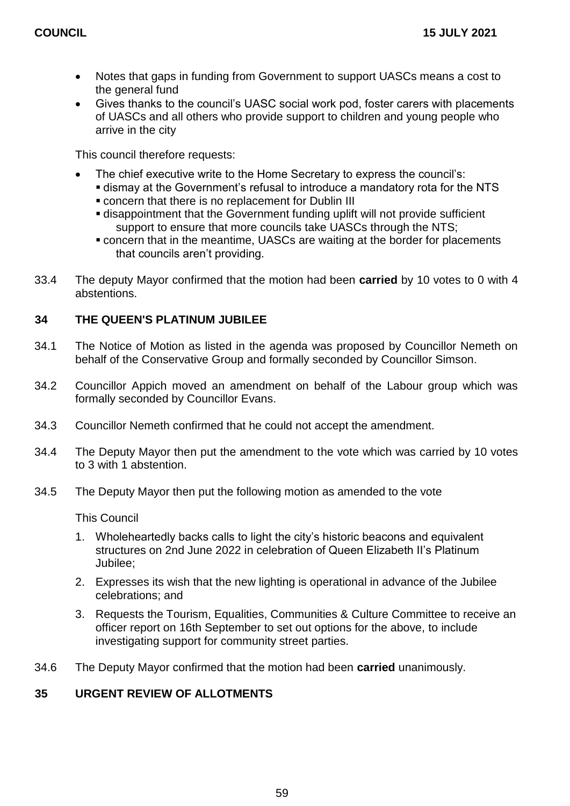- Notes that gaps in funding from Government to support UASCs means a cost to the general fund
- Gives thanks to the council's UASC social work pod, foster carers with placements of UASCs and all others who provide support to children and young people who arrive in the city

This council therefore requests:

- The chief executive write to the Home Secretary to express the council's:
	- dismay at the Government's refusal to introduce a mandatory rota for the NTS
	- concern that there is no replacement for Dublin III
	- disappointment that the Government funding uplift will not provide sufficient support to ensure that more councils take UASCs through the NTS;
	- concern that in the meantime, UASCs are waiting at the border for placements that councils aren't providing.
- 33.4 The deputy Mayor confirmed that the motion had been **carried** by 10 votes to 0 with 4 abstentions.

## **34 THE QUEEN'S PLATINUM JUBILEE**

- 34.1 The Notice of Motion as listed in the agenda was proposed by Councillor Nemeth on behalf of the Conservative Group and formally seconded by Councillor Simson.
- 34.2 Councillor Appich moved an amendment on behalf of the Labour group which was formally seconded by Councillor Evans.
- 34.3 Councillor Nemeth confirmed that he could not accept the amendment.
- 34.4 The Deputy Mayor then put the amendment to the vote which was carried by 10 votes to 3 with 1 abstention.
- 34.5 The Deputy Mayor then put the following motion as amended to the vote

This Council

- 1. Wholeheartedly backs calls to light the city's historic beacons and equivalent structures on 2nd June 2022 in celebration of Queen Elizabeth II's Platinum Jubilee;
- 2. Expresses its wish that the new lighting is operational in advance of the Jubilee celebrations; and
- 3. Requests the Tourism, Equalities, Communities & Culture Committee to receive an officer report on 16th September to set out options for the above, to include investigating support for community street parties.
- 34.6 The Deputy Mayor confirmed that the motion had been **carried** unanimously.

## **35 URGENT REVIEW OF ALLOTMENTS**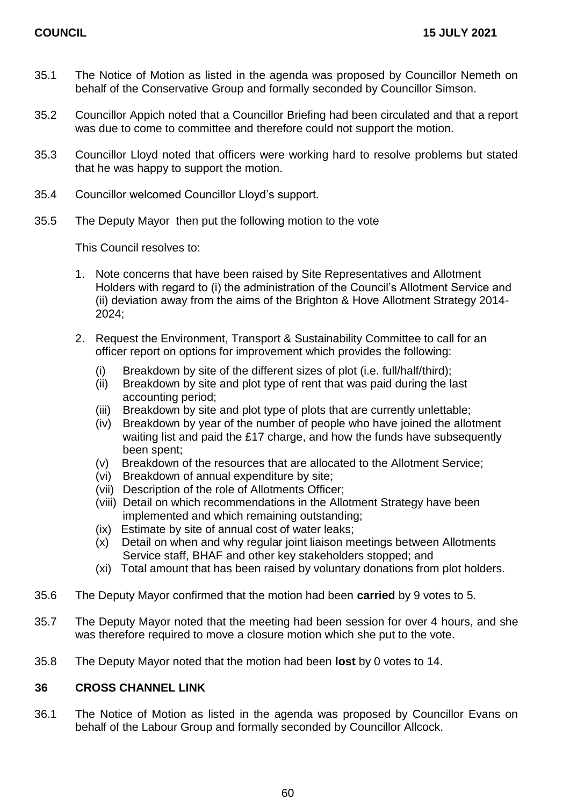- 35.1 The Notice of Motion as listed in the agenda was proposed by Councillor Nemeth on behalf of the Conservative Group and formally seconded by Councillor Simson.
- 35.2 Councillor Appich noted that a Councillor Briefing had been circulated and that a report was due to come to committee and therefore could not support the motion.
- 35.3 Councillor Lloyd noted that officers were working hard to resolve problems but stated that he was happy to support the motion.
- 35.4 Councillor welcomed Councillor Lloyd's support.
- 35.5 The Deputy Mayor then put the following motion to the vote

This Council resolves to:

- 1. Note concerns that have been raised by Site Representatives and Allotment Holders with regard to (i) the administration of the Council's Allotment Service and (ii) deviation away from the aims of the Brighton & Hove Allotment Strategy 2014- 2024;
- 2. Request the Environment, Transport & Sustainability Committee to call for an officer report on options for improvement which provides the following:
	- (i) Breakdown by site of the different sizes of plot (i.e. full/half/third);
	- (ii) Breakdown by site and plot type of rent that was paid during the last accounting period;
	- (iii) Breakdown by site and plot type of plots that are currently unlettable;
	- (iv) Breakdown by year of the number of people who have joined the allotment waiting list and paid the £17 charge, and how the funds have subsequently been spent;
	- (v) Breakdown of the resources that are allocated to the Allotment Service;
	- (vi) Breakdown of annual expenditure by site;
	- (vii) Description of the role of Allotments Officer;
	- (viii) Detail on which recommendations in the Allotment Strategy have been implemented and which remaining outstanding;
	- (ix) Estimate by site of annual cost of water leaks;
	- (x) Detail on when and why regular joint liaison meetings between Allotments Service staff, BHAF and other key stakeholders stopped; and
	- (xi) Total amount that has been raised by voluntary donations from plot holders.
- 35.6 The Deputy Mayor confirmed that the motion had been **carried** by 9 votes to 5.
- 35.7 The Deputy Mayor noted that the meeting had been session for over 4 hours, and she was therefore required to move a closure motion which she put to the vote.
- 35.8 The Deputy Mayor noted that the motion had been **lost** by 0 votes to 14.

#### **36 CROSS CHANNEL LINK**

36.1 The Notice of Motion as listed in the agenda was proposed by Councillor Evans on behalf of the Labour Group and formally seconded by Councillor Allcock.